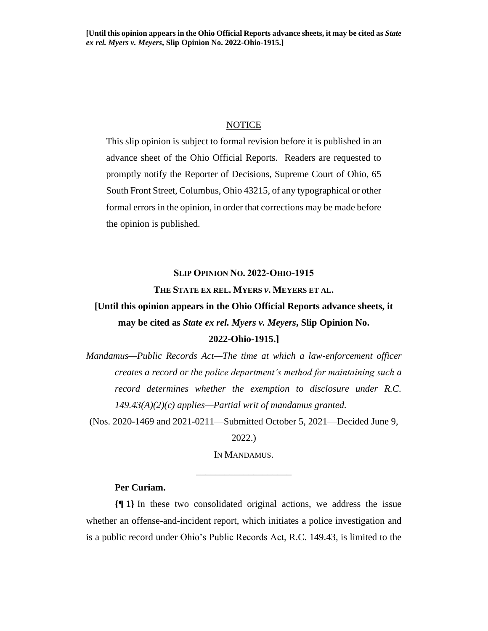### NOTICE

This slip opinion is subject to formal revision before it is published in an advance sheet of the Ohio Official Reports. Readers are requested to promptly notify the Reporter of Decisions, Supreme Court of Ohio, 65 South Front Street, Columbus, Ohio 43215, of any typographical or other formal errors in the opinion, in order that corrections may be made before the opinion is published.

### **SLIP OPINION NO. 2022-OHIO-1915**

### **THE STATE EX REL. MYERS** *v***. MEYERS ET AL.**

# **[Until this opinion appears in the Ohio Official Reports advance sheets, it may be cited as** *State ex rel. Myers v. Meyers***, Slip Opinion No.**

# **2022-Ohio-1915.]**

*Mandamus—Public Records Act—The time at which a law-enforcement officer creates a record or the police department's method for maintaining such a record determines whether the exemption to disclosure under R.C. 149.43(A)(2)(c) applies—Partial writ of mandamus granted.*

(Nos. 2020-1469 and 2021-0211—Submitted October 5, 2021—Decided June 9,

2022.)

IN MANDAMUS. \_\_\_\_\_\_\_\_\_\_\_\_\_\_\_\_\_\_\_\_

### **Per Curiam.**

**{¶ 1}** In these two consolidated original actions, we address the issue whether an offense-and-incident report, which initiates a police investigation and is a public record under Ohio's Public Records Act, R.C. 149.43, is limited to the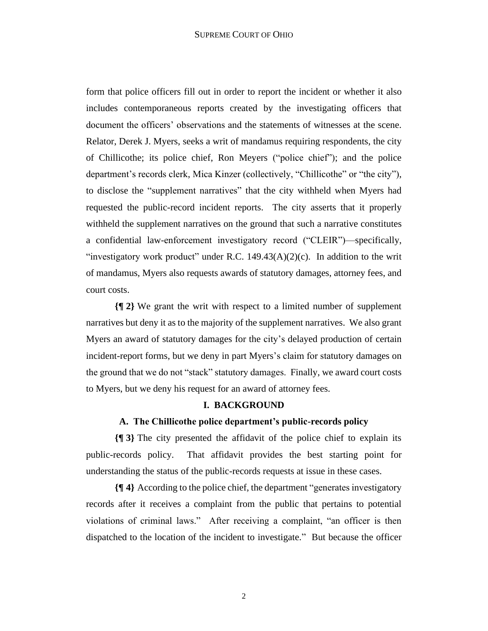form that police officers fill out in order to report the incident or whether it also includes contemporaneous reports created by the investigating officers that document the officers' observations and the statements of witnesses at the scene. Relator, Derek J. Myers, seeks a writ of mandamus requiring respondents, the city of Chillicothe; its police chief, Ron Meyers ("police chief"); and the police department's records clerk, Mica Kinzer (collectively, "Chillicothe" or "the city"), to disclose the "supplement narratives" that the city withheld when Myers had requested the public-record incident reports. The city asserts that it properly withheld the supplement narratives on the ground that such a narrative constitutes a confidential law-enforcement investigatory record ("CLEIR")—specifically, "investigatory work product" under R.C.  $149.43(A)(2)(c)$ . In addition to the writ of mandamus, Myers also requests awards of statutory damages, attorney fees, and court costs.

**{¶ 2}** We grant the writ with respect to a limited number of supplement narratives but deny it as to the majority of the supplement narratives. We also grant Myers an award of statutory damages for the city's delayed production of certain incident-report forms, but we deny in part Myers's claim for statutory damages on the ground that we do not "stack" statutory damages. Finally, we award court costs to Myers, but we deny his request for an award of attorney fees.

### **I. BACKGROUND**

## **A. The Chillicothe police department's public-records policy**

**{¶ 3}** The city presented the affidavit of the police chief to explain its public-records policy. That affidavit provides the best starting point for understanding the status of the public-records requests at issue in these cases.

**{¶ 4}** According to the police chief, the department "generates investigatory records after it receives a complaint from the public that pertains to potential violations of criminal laws." After receiving a complaint, "an officer is then dispatched to the location of the incident to investigate." But because the officer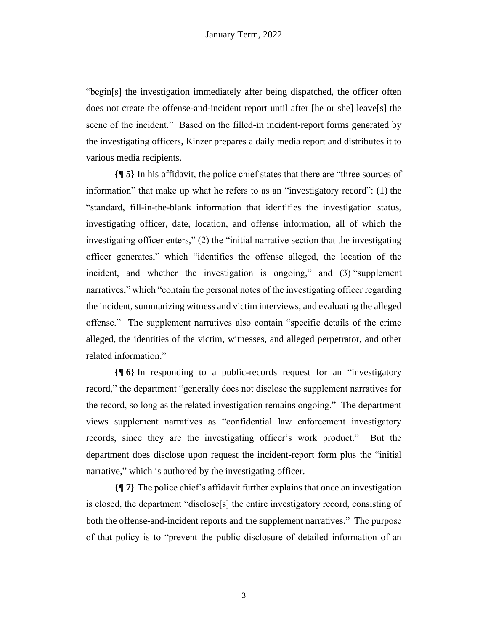"begin[s] the investigation immediately after being dispatched, the officer often does not create the offense-and-incident report until after [he or she] leave[s] the scene of the incident." Based on the filled-in incident-report forms generated by the investigating officers, Kinzer prepares a daily media report and distributes it to various media recipients.

**{¶ 5}** In his affidavit, the police chief states that there are "three sources of information" that make up what he refers to as an "investigatory record": (1) the "standard, fill-in-the-blank information that identifies the investigation status, investigating officer, date, location, and offense information, all of which the investigating officer enters," (2) the "initial narrative section that the investigating officer generates," which "identifies the offense alleged, the location of the incident, and whether the investigation is ongoing," and (3) "supplement narratives," which "contain the personal notes of the investigating officer regarding the incident, summarizing witness and victim interviews, and evaluating the alleged offense." The supplement narratives also contain "specific details of the crime alleged, the identities of the victim, witnesses, and alleged perpetrator, and other related information."

**{¶ 6}** In responding to a public-records request for an "investigatory record," the department "generally does not disclose the supplement narratives for the record, so long as the related investigation remains ongoing." The department views supplement narratives as "confidential law enforcement investigatory records, since they are the investigating officer's work product." But the department does disclose upon request the incident-report form plus the "initial narrative," which is authored by the investigating officer.

**{¶ 7}** The police chief's affidavit further explains that once an investigation is closed, the department "disclose[s] the entire investigatory record, consisting of both the offense-and-incident reports and the supplement narratives." The purpose of that policy is to "prevent the public disclosure of detailed information of an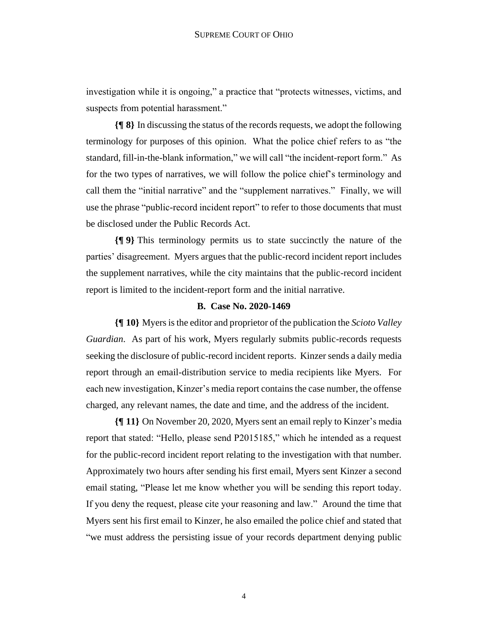investigation while it is ongoing," a practice that "protects witnesses, victims, and suspects from potential harassment."

**{¶ 8}** In discussing the status of the records requests, we adopt the following terminology for purposes of this opinion. What the police chief refers to as "the standard, fill-in-the-blank information," we will call "the incident-report form." As for the two types of narratives, we will follow the police chief's terminology and call them the "initial narrative" and the "supplement narratives." Finally, we will use the phrase "public-record incident report" to refer to those documents that must be disclosed under the Public Records Act.

**{¶ 9}** This terminology permits us to state succinctly the nature of the parties' disagreement. Myers argues that the public-record incident report includes the supplement narratives, while the city maintains that the public-record incident report is limited to the incident-report form and the initial narrative.

### **B. Case No. 2020-1469**

**{¶ 10}** Myers is the editor and proprietor of the publication the *Scioto Valley Guardian*. As part of his work, Myers regularly submits public-records requests seeking the disclosure of public-record incident reports. Kinzer sends a daily media report through an email-distribution service to media recipients like Myers. For each new investigation, Kinzer's media report contains the case number, the offense charged, any relevant names, the date and time, and the address of the incident.

**{¶ 11}** On November 20, 2020, Myers sent an email reply to Kinzer's media report that stated: "Hello, please send P2015185," which he intended as a request for the public-record incident report relating to the investigation with that number. Approximately two hours after sending his first email, Myers sent Kinzer a second email stating, "Please let me know whether you will be sending this report today. If you deny the request, please cite your reasoning and law." Around the time that Myers sent his first email to Kinzer, he also emailed the police chief and stated that "we must address the persisting issue of your records department denying public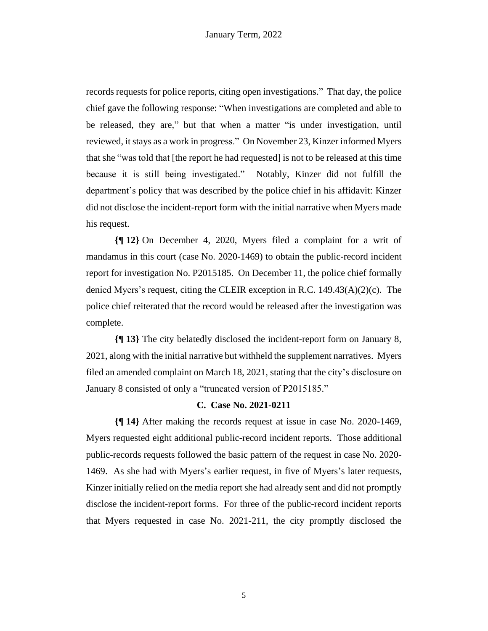records requests for police reports, citing open investigations." That day, the police chief gave the following response: "When investigations are completed and able to be released, they are," but that when a matter "is under investigation, until reviewed, it stays as a work in progress." On November 23, Kinzer informed Myers that she "was told that [the report he had requested] is not to be released at this time because it is still being investigated." Notably, Kinzer did not fulfill the department's policy that was described by the police chief in his affidavit: Kinzer did not disclose the incident-report form with the initial narrative when Myers made his request.

**{¶ 12}** On December 4, 2020, Myers filed a complaint for a writ of mandamus in this court (case No. 2020-1469) to obtain the public-record incident report for investigation No. P2015185. On December 11, the police chief formally denied Myers's request, citing the CLEIR exception in R.C.  $149.43(A)(2)(c)$ . The police chief reiterated that the record would be released after the investigation was complete.

**{¶ 13}** The city belatedly disclosed the incident-report form on January 8, 2021, along with the initial narrative but withheld the supplement narratives. Myers filed an amended complaint on March 18, 2021, stating that the city's disclosure on January 8 consisted of only a "truncated version of P2015185."

### **C. Case No. 2021-0211**

**{¶ 14}** After making the records request at issue in case No. 2020-1469, Myers requested eight additional public-record incident reports. Those additional public-records requests followed the basic pattern of the request in case No. 2020- 1469. As she had with Myers's earlier request, in five of Myers's later requests, Kinzer initially relied on the media report she had already sent and did not promptly disclose the incident-report forms. For three of the public-record incident reports that Myers requested in case No. 2021-211, the city promptly disclosed the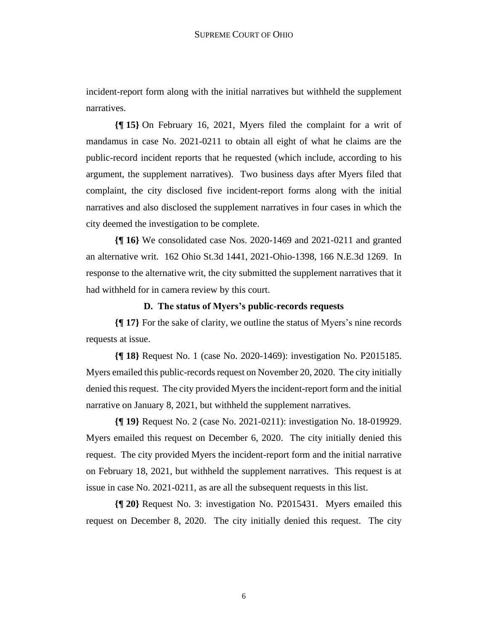incident-report form along with the initial narratives but withheld the supplement narratives.

**{¶ 15}** On February 16, 2021, Myers filed the complaint for a writ of mandamus in case No. 2021-0211 to obtain all eight of what he claims are the public-record incident reports that he requested (which include, according to his argument, the supplement narratives). Two business days after Myers filed that complaint, the city disclosed five incident-report forms along with the initial narratives and also disclosed the supplement narratives in four cases in which the city deemed the investigation to be complete.

**{¶ 16}** We consolidated case Nos. 2020-1469 and 2021-0211 and granted an alternative writ. 162 Ohio St.3d 1441, 2021-Ohio-1398, 166 N.E.3d 1269. In response to the alternative writ, the city submitted the supplement narratives that it had withheld for in camera review by this court.

### **D. The status of Myers's public-records requests**

**{¶ 17}** For the sake of clarity, we outline the status of Myers's nine records requests at issue.

**{¶ 18}** Request No. 1 (case No. 2020-1469): investigation No. P2015185. Myers emailed this public-records request on November 20, 2020. The city initially denied thisrequest. The city provided Myers the incident-report form and the initial narrative on January 8, 2021, but withheld the supplement narratives.

**{¶ 19}** Request No. 2 (case No. 2021-0211): investigation No. 18-019929. Myers emailed this request on December 6, 2020. The city initially denied this request. The city provided Myers the incident-report form and the initial narrative on February 18, 2021, but withheld the supplement narratives. This request is at issue in case No. 2021-0211, as are all the subsequent requests in this list.

**{¶ 20}** Request No. 3: investigation No. P2015431. Myers emailed this request on December 8, 2020. The city initially denied this request. The city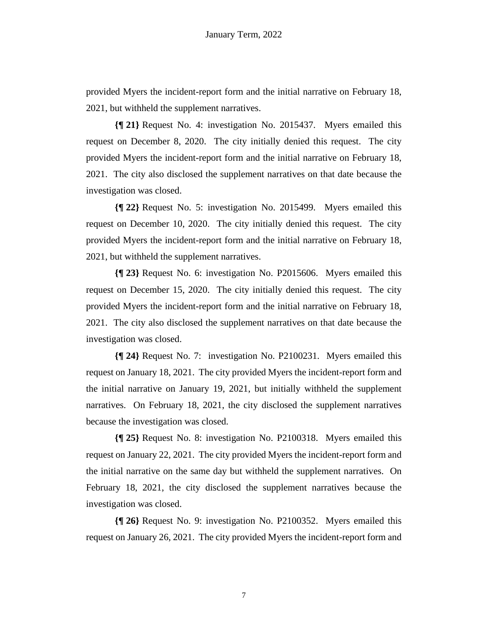provided Myers the incident-report form and the initial narrative on February 18, 2021, but withheld the supplement narratives.

**{¶ 21}** Request No. 4: investigation No. 2015437. Myers emailed this request on December 8, 2020. The city initially denied this request. The city provided Myers the incident-report form and the initial narrative on February 18, 2021. The city also disclosed the supplement narratives on that date because the investigation was closed.

**{¶ 22}** Request No. 5: investigation No. 2015499. Myers emailed this request on December 10, 2020. The city initially denied this request. The city provided Myers the incident-report form and the initial narrative on February 18, 2021, but withheld the supplement narratives.

**{¶ 23}** Request No. 6: investigation No. P2015606. Myers emailed this request on December 15, 2020. The city initially denied this request. The city provided Myers the incident-report form and the initial narrative on February 18, 2021. The city also disclosed the supplement narratives on that date because the investigation was closed.

**{¶ 24}** Request No. 7: investigation No. P2100231. Myers emailed this request on January 18, 2021. The city provided Myers the incident-report form and the initial narrative on January 19, 2021, but initially withheld the supplement narratives. On February 18, 2021, the city disclosed the supplement narratives because the investigation was closed.

**{¶ 25}** Request No. 8: investigation No. P2100318. Myers emailed this request on January 22, 2021. The city provided Myers the incident-report form and the initial narrative on the same day but withheld the supplement narratives. On February 18, 2021, the city disclosed the supplement narratives because the investigation was closed.

**{¶ 26}** Request No. 9: investigation No. P2100352. Myers emailed this request on January 26, 2021. The city provided Myers the incident-report form and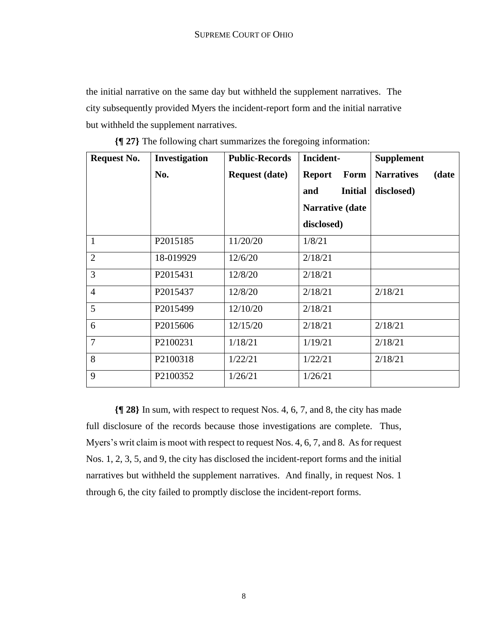the initial narrative on the same day but withheld the supplement narratives. The city subsequently provided Myers the incident-report form and the initial narrative but withheld the supplement narratives.

| <b>Request No.</b> | <b>Investigation</b> | <b>Public-Records</b> | Incident-             | <b>Supplement</b>          |
|--------------------|----------------------|-----------------------|-----------------------|----------------------------|
|                    | No.                  | <b>Request (date)</b> | <b>Report</b><br>Form | <b>Narratives</b><br>(date |
|                    |                      |                       | <b>Initial</b><br>and | disclosed)                 |
|                    |                      |                       | Narrative (date       |                            |
|                    |                      |                       | disclosed)            |                            |
| $\mathbf{1}$       | P2015185             | 11/20/20              | 1/8/21                |                            |
| $\overline{2}$     | 18-019929            | 12/6/20               | 2/18/21               |                            |
| $\overline{3}$     | P2015431             | 12/8/20               | 2/18/21               |                            |
| $\overline{4}$     | P2015437             | 12/8/20               | 2/18/21               | 2/18/21                    |
| 5                  | P2015499             | 12/10/20              | 2/18/21               |                            |
| 6                  | P2015606             | 12/15/20              | 2/18/21               | 2/18/21                    |
| $\overline{7}$     | P <sub>2100231</sub> | 1/18/21               | 1/19/21               | 2/18/21                    |
| 8                  | P2100318             | 1/22/21               | 1/22/21               | 2/18/21                    |
| 9                  | P2100352             | 1/26/21               | 1/26/21               |                            |

**{¶ 27}** The following chart summarizes the foregoing information:

**{¶ 28}** In sum, with respect to request Nos. 4, 6, 7, and 8, the city has made full disclosure of the records because those investigations are complete. Thus, Myers's writ claim is moot with respect to request Nos. 4, 6, 7, and 8. As for request Nos. 1, 2, 3, 5, and 9, the city has disclosed the incident-report forms and the initial narratives but withheld the supplement narratives. And finally, in request Nos. 1 through 6, the city failed to promptly disclose the incident-report forms.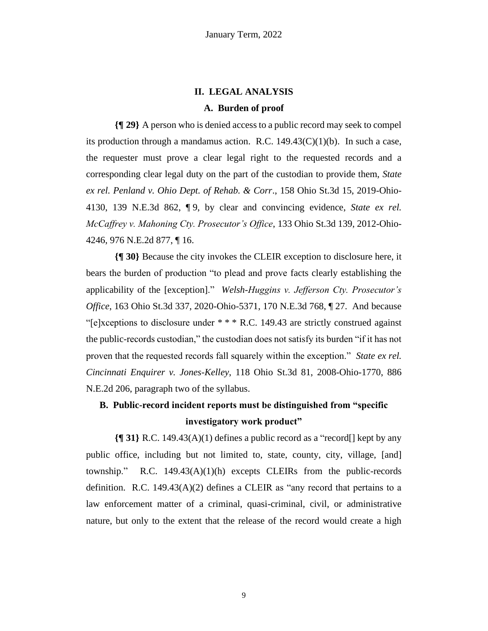# **II. LEGAL ANALYSIS**

### **A. Burden of proof**

**{¶ 29}** A person who is denied access to a public record may seek to compel its production through a mandamus action. R.C.  $149.43(C)(1)(b)$ . In such a case, the requester must prove a clear legal right to the requested records and a corresponding clear legal duty on the part of the custodian to provide them, *State ex rel. Penland v. Ohio Dept. of Rehab. & Corr*., 158 Ohio St.3d 15, 2019-Ohio-4130, 139 N.E.3d 862, ¶ 9, by clear and convincing evidence, *State ex rel. McCaffrey v. Mahoning Cty. Prosecutor's Office*, 133 Ohio St.3d 139, 2012-Ohio-4246, 976 N.E.2d 877, ¶ 16.

**{¶ 30}** Because the city invokes the CLEIR exception to disclosure here, it bears the burden of production "to plead and prove facts clearly establishing the applicability of the [exception]." *Welsh-Huggins v. Jefferson Cty. Prosecutor's Office*, 163 Ohio St.3d 337, 2020-Ohio-5371, 170 N.E.3d 768, 1 27. And because "[e]xceptions to disclosure under  $***$  R.C. 149.43 are strictly construed against the public-records custodian," the custodian does not satisfy its burden "if it has not proven that the requested records fall squarely within the exception." *State ex rel. Cincinnati Enquirer v. Jones-Kelley*, 118 Ohio St.3d 81, 2008-Ohio-1770, 886 N.E.2d 206, paragraph two of the syllabus.

# **B. Public-record incident reports must be distinguished from "specific investigatory work product"**

**{¶ 31}** R.C. 149.43(A)(1) defines a public record as a "record[] kept by any public office, including but not limited to, state, county, city, village, [and] township." R.C.  $149.43(A)(1)(h)$  excepts CLEIRs from the public-records definition. R.C. 149.43 $(A)(2)$  defines a CLEIR as "any record that pertains to a law enforcement matter of a criminal, quasi-criminal, civil, or administrative nature, but only to the extent that the release of the record would create a high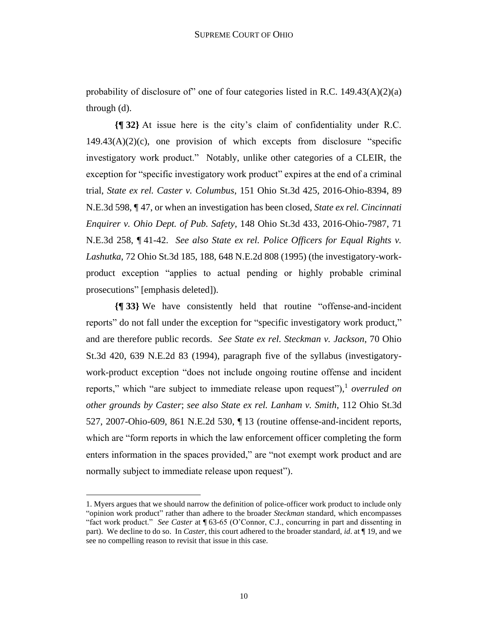probability of disclosure of" one of four categories listed in R.C. 149.43(A)(2)(a) through (d).

**{¶ 32}** At issue here is the city's claim of confidentiality under R.C.  $149.43(A)(2)(c)$ , one provision of which excepts from disclosure "specific investigatory work product."Notably, unlike other categories of a CLEIR, the exception for "specific investigatory work product" expires at the end of a criminal trial, *State ex rel. Caster v. Columbus*, 151 Ohio St.3d 425, 2016-Ohio-8394, 89 N.E.3d 598, ¶ 47, or when an investigation has been closed, *State ex rel. Cincinnati Enquirer v. Ohio Dept. of Pub. Safety*, 148 Ohio St.3d 433, 2016-Ohio-7987, 71 N.E.3d 258, ¶ 41-42. *See also State ex rel. Police Officers for Equal Rights v. Lashutka*, 72 Ohio St.3d 185, 188, 648 N.E.2d 808 (1995) (the investigatory-workproduct exception "applies to actual pending or highly probable criminal prosecutions" [emphasis deleted]).

**{¶ 33}** We have consistently held that routine "offense-and-incident reports" do not fall under the exception for "specific investigatory work product," and are therefore public records. *See State ex rel. Steckman v. Jackson*, 70 Ohio St.3d 420, 639 N.E.2d 83 (1994), paragraph five of the syllabus (investigatorywork-product exception "does not include ongoing routine offense and incident reports," which "are subject to immediate release upon request"), 1 *overruled on other grounds by Caster*; *see also State ex rel. Lanham v. Smith*, 112 Ohio St.3d 527, 2007-Ohio-609, 861 N.E.2d 530, ¶ 13 (routine offense-and-incident reports, which are "form reports in which the law enforcement officer completing the form enters information in the spaces provided," are "not exempt work product and are normally subject to immediate release upon request").

<sup>1.</sup> Myers argues that we should narrow the definition of police-officer work product to include only "opinion work product" rather than adhere to the broader *Steckman* standard, which encompasses "fact work product." *See Caster* at ¶ 63-65 (O'Connor, C.J., concurring in part and dissenting in part). We decline to do so. In *Caster*, this court adhered to the broader standard, *id*. at ¶ 19, and we see no compelling reason to revisit that issue in this case.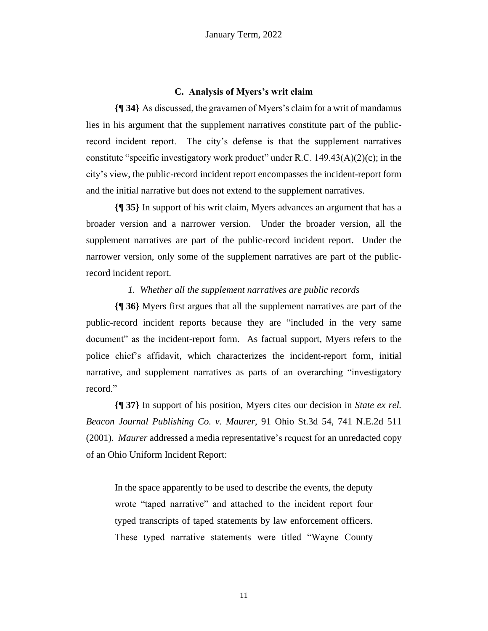### **C. Analysis of Myers's writ claim**

**{¶ 34}** As discussed, the gravamen of Myers's claim for a writ of mandamus lies in his argument that the supplement narratives constitute part of the publicrecord incident report. The city's defense is that the supplement narratives constitute "specific investigatory work product" under R.C.  $149.43(A)(2)(c)$ ; in the city's view, the public-record incident report encompasses the incident-report form and the initial narrative but does not extend to the supplement narratives.

**{¶ 35}** In support of his writ claim, Myers advances an argument that has a broader version and a narrower version. Under the broader version, all the supplement narratives are part of the public-record incident report. Under the narrower version, only some of the supplement narratives are part of the publicrecord incident report.

### *1. Whether all the supplement narratives are public records*

**{¶ 36}** Myers first argues that all the supplement narratives are part of the public-record incident reports because they are "included in the very same document" as the incident-report form. As factual support, Myers refers to the police chief's affidavit, which characterizes the incident-report form, initial narrative, and supplement narratives as parts of an overarching "investigatory record."

**{¶ 37}** In support of his position, Myers cites our decision in *State ex rel. Beacon Journal Publishing Co. v. Maurer*, 91 Ohio St.3d 54, 741 N.E.2d 511 (2001). *Maurer* addressed a media representative's request for an unredacted copy of an Ohio Uniform Incident Report:

In the space apparently to be used to describe the events, the deputy wrote "taped narrative" and attached to the incident report four typed transcripts of taped statements by law enforcement officers. These typed narrative statements were titled "Wayne County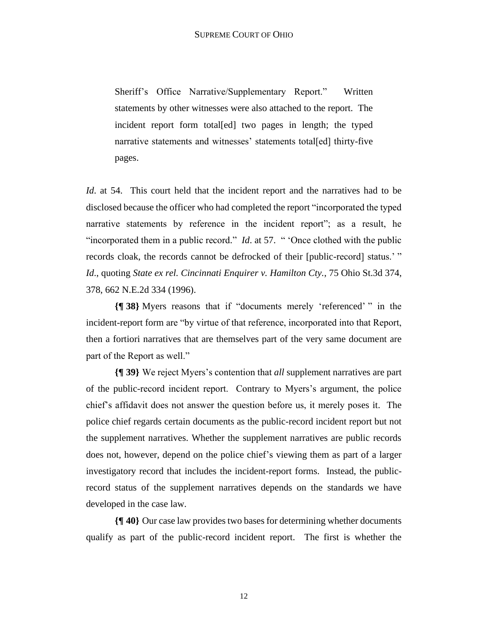Sheriff's Office Narrative/Supplementary Report." Written statements by other witnesses were also attached to the report. The incident report form total[ed] two pages in length; the typed narrative statements and witnesses' statements total[ed] thirty-five pages.

*Id*. at 54. This court held that the incident report and the narratives had to be disclosed because the officer who had completed the report "incorporated the typed narrative statements by reference in the incident report"; as a result, he "incorporated them in a public record." *Id*. at 57. " 'Once clothed with the public records cloak, the records cannot be defrocked of their [public-record] status.' " *Id*., quoting *State ex rel. Cincinnati Enquirer v. Hamilton Cty.*, 75 Ohio St.3d 374, 378, 662 N.E.2d 334 (1996).

**{¶ 38}** Myers reasons that if "documents merely 'referenced' " in the incident-report form are "by virtue of that reference, incorporated into that Report, then a fortiori narratives that are themselves part of the very same document are part of the Report as well."

**{¶ 39}** We reject Myers's contention that *all* supplement narratives are part of the public-record incident report. Contrary to Myers's argument, the police chief's affidavit does not answer the question before us, it merely poses it. The police chief regards certain documents as the public-record incident report but not the supplement narratives. Whether the supplement narratives are public records does not, however, depend on the police chief's viewing them as part of a larger investigatory record that includes the incident-report forms. Instead, the publicrecord status of the supplement narratives depends on the standards we have developed in the case law.

**{¶ 40}** Our case law provides two bases for determining whether documents qualify as part of the public-record incident report. The first is whether the

12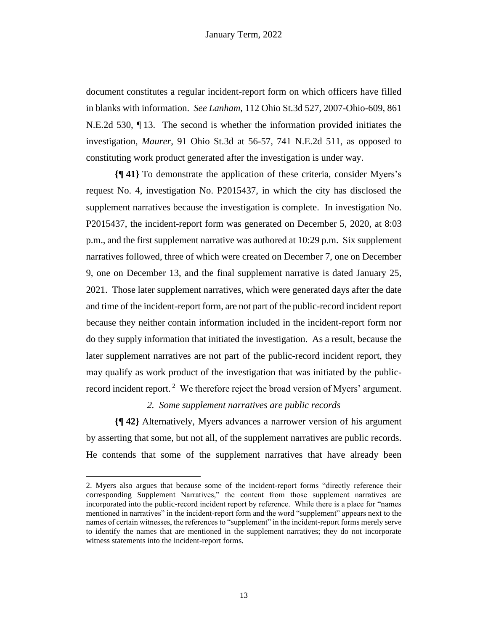document constitutes a regular incident-report form on which officers have filled in blanks with information. *See Lanham*, 112 Ohio St.3d 527, 2007-Ohio-609, 861 N.E.2d 530, ¶ 13. The second is whether the information provided initiates the investigation, *Maurer*, 91 Ohio St.3d at 56-57, 741 N.E.2d 511, as opposed to constituting work product generated after the investigation is under way.

**{¶ 41}** To demonstrate the application of these criteria, consider Myers's request No. 4, investigation No. P2015437, in which the city has disclosed the supplement narratives because the investigation is complete. In investigation No. P2015437, the incident-report form was generated on December 5, 2020, at 8:03 p.m., and the first supplement narrative was authored at 10:29 p.m. Six supplement narratives followed, three of which were created on December 7, one on December 9, one on December 13, and the final supplement narrative is dated January 25, 2021. Those later supplement narratives, which were generated days after the date and time of the incident-report form, are not part of the public-record incident report because they neither contain information included in the incident-report form nor do they supply information that initiated the investigation. As a result, because the later supplement narratives are not part of the public-record incident report, they may qualify as work product of the investigation that was initiated by the publicrecord incident report.<sup>2</sup> We therefore reject the broad version of Myers' argument.

### *2. Some supplement narratives are public records*

**{¶ 42}** Alternatively, Myers advances a narrower version of his argument by asserting that some, but not all, of the supplement narratives are public records. He contends that some of the supplement narratives that have already been

<sup>2.</sup> Myers also argues that because some of the incident-report forms "directly reference their corresponding Supplement Narratives," the content from those supplement narratives are incorporated into the public-record incident report by reference. While there is a place for "names mentioned in narratives" in the incident-report form and the word "supplement" appears next to the names of certain witnesses, the references to "supplement" in the incident-report forms merely serve to identify the names that are mentioned in the supplement narratives; they do not incorporate witness statements into the incident-report forms.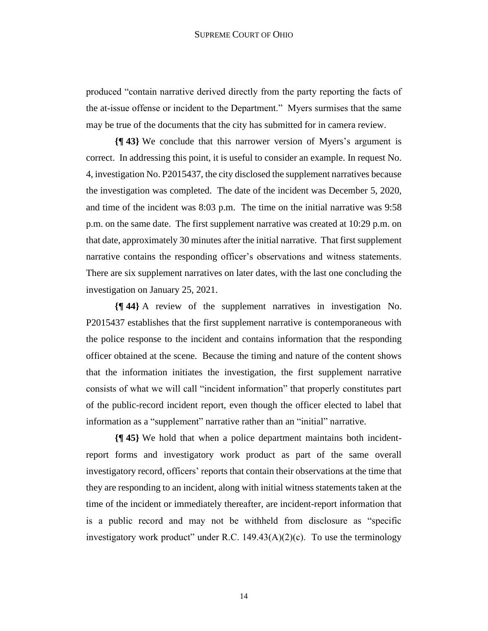produced "contain narrative derived directly from the party reporting the facts of the at-issue offense or incident to the Department." Myers surmises that the same may be true of the documents that the city has submitted for in camera review.

**{¶ 43}** We conclude that this narrower version of Myers's argument is correct. In addressing this point, it is useful to consider an example. In request No. 4, investigation No. P2015437, the city disclosed the supplement narratives because the investigation was completed. The date of the incident was December 5, 2020, and time of the incident was 8:03 p.m. The time on the initial narrative was 9:58 p.m. on the same date. The first supplement narrative was created at 10:29 p.m. on that date, approximately 30 minutes after the initial narrative. That first supplement narrative contains the responding officer's observations and witness statements. There are six supplement narratives on later dates, with the last one concluding the investigation on January 25, 2021.

**{¶ 44}** A review of the supplement narratives in investigation No. P2015437 establishes that the first supplement narrative is contemporaneous with the police response to the incident and contains information that the responding officer obtained at the scene. Because the timing and nature of the content shows that the information initiates the investigation, the first supplement narrative consists of what we will call "incident information" that properly constitutes part of the public-record incident report, even though the officer elected to label that information as a "supplement" narrative rather than an "initial" narrative.

**{¶ 45}** We hold that when a police department maintains both incidentreport forms and investigatory work product as part of the same overall investigatory record, officers' reports that contain their observations at the time that they are responding to an incident, along with initial witness statements taken at the time of the incident or immediately thereafter, are incident-report information that is a public record and may not be withheld from disclosure as "specific investigatory work product" under R.C.  $149.43(A)(2)(c)$ . To use the terminology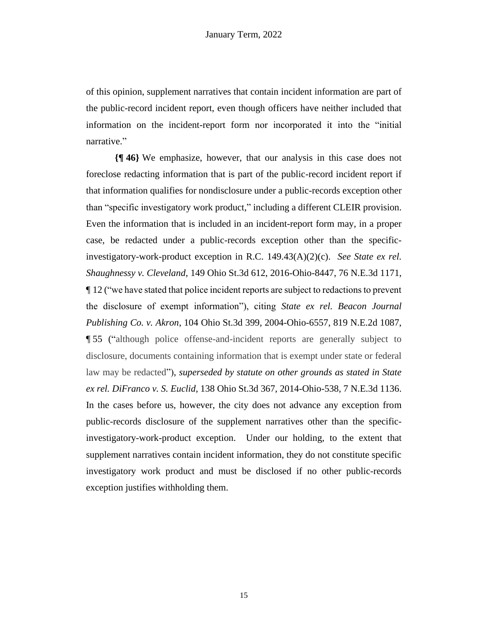of this opinion, supplement narratives that contain incident information are part of the public-record incident report, even though officers have neither included that information on the incident-report form nor incorporated it into the "initial narrative."

**{¶ 46}** We emphasize, however, that our analysis in this case does not foreclose redacting information that is part of the public-record incident report if that information qualifies for nondisclosure under a public-records exception other than "specific investigatory work product," including a different CLEIR provision. Even the information that is included in an incident-report form may, in a proper case, be redacted under a public-records exception other than the specificinvestigatory-work-product exception in R.C. 149.43(A)(2)(c). *See State ex rel. Shaughnessy v. Cleveland*, 149 Ohio St.3d 612, 2016-Ohio-8447, 76 N.E.3d 1171, ¶ 12 ("we have stated that police incident reports are subject to redactions to prevent the disclosure of exempt information"), citing *State ex rel. Beacon Journal Publishing Co. v. Akron*, 104 Ohio St.3d 399, 2004-Ohio-6557, 819 N.E.2d 1087, ¶ 55 ("although police offense-and-incident reports are generally subject to disclosure, documents containing information that is exempt under state or federal law may be redacted"), *superseded by statute on other grounds as stated in State ex rel. DiFranco v. S. Euclid*, 138 Ohio St.3d 367, 2014-Ohio-538, 7 N.E.3d 1136. In the cases before us, however, the city does not advance any exception from public-records disclosure of the supplement narratives other than the specificinvestigatory-work-product exception. Under our holding, to the extent that supplement narratives contain incident information, they do not constitute specific investigatory work product and must be disclosed if no other public-records exception justifies withholding them.

15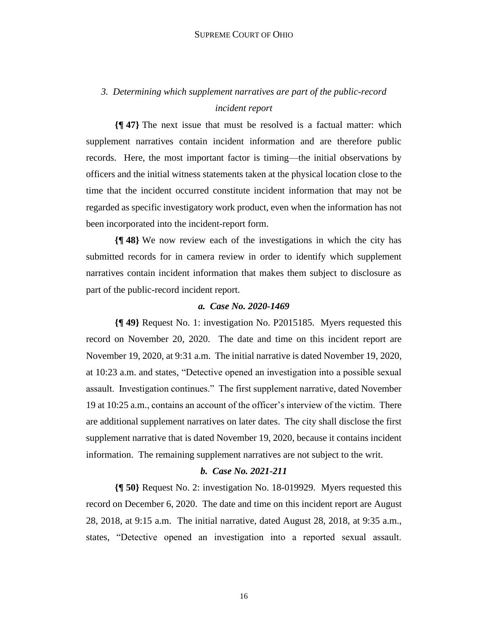# *3. Determining which supplement narratives are part of the public-record incident report*

**{¶ 47}** The next issue that must be resolved is a factual matter: which supplement narratives contain incident information and are therefore public records. Here, the most important factor is timing—the initial observations by officers and the initial witness statements taken at the physical location close to the time that the incident occurred constitute incident information that may not be regarded as specific investigatory work product, even when the information has not been incorporated into the incident-report form.

**{¶ 48}** We now review each of the investigations in which the city has submitted records for in camera review in order to identify which supplement narratives contain incident information that makes them subject to disclosure as part of the public-record incident report.

### *a. Case No. 2020-1469*

**{¶ 49}** Request No. 1: investigation No. P2015185. Myers requested this record on November 20, 2020. The date and time on this incident report are November 19, 2020, at 9:31 a.m. The initial narrative is dated November 19, 2020, at 10:23 a.m. and states, "Detective opened an investigation into a possible sexual assault. Investigation continues." The first supplement narrative, dated November 19 at 10:25 a.m., contains an account of the officer's interview of the victim. There are additional supplement narratives on later dates. The city shall disclose the first supplement narrative that is dated November 19, 2020, because it contains incident information. The remaining supplement narratives are not subject to the writ.

### *b. Case No. 2021-211*

**{¶ 50}** Request No. 2: investigation No. 18-019929. Myers requested this record on December 6, 2020. The date and time on this incident report are August 28, 2018, at 9:15 a.m. The initial narrative, dated August 28, 2018, at 9:35 a.m., states, "Detective opened an investigation into a reported sexual assault.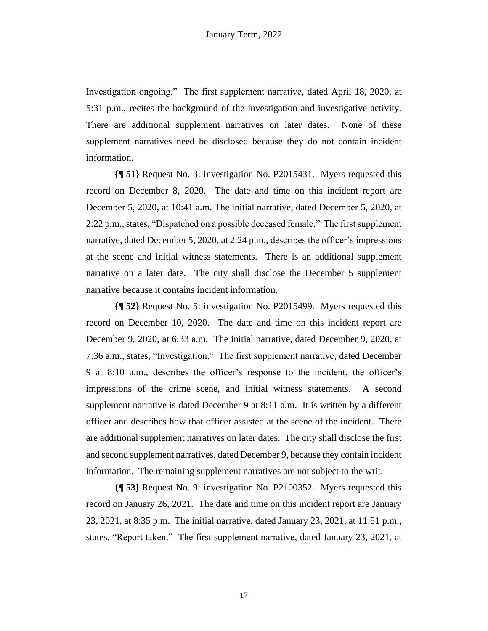Investigation ongoing." The first supplement narrative, dated April 18, 2020, at 5:31 p.m., recites the background of the investigation and investigative activity. There are additional supplement narratives on later dates. None of these supplement narratives need be disclosed because they do not contain incident information.

**{¶ 51}** Request No. 3: investigation No. P2015431. Myers requested this record on December 8, 2020. The date and time on this incident report are December 5, 2020, at 10:41 a.m. The initial narrative, dated December 5, 2020, at 2:22 p.m., states, "Dispatched on a possible deceased female." The first supplement narrative, dated December 5, 2020, at 2:24 p.m., describes the officer's impressions at the scene and initial witness statements. There is an additional supplement narrative on a later date. The city shall disclose the December 5 supplement narrative because it contains incident information.

**{¶ 52}** Request No. 5: investigation No. P2015499. Myers requested this record on December 10, 2020. The date and time on this incident report are December 9, 2020, at 6:33 a.m. The initial narrative, dated December 9, 2020, at 7:36 a.m., states, "Investigation." The first supplement narrative, dated December 9 at 8:10 a.m., describes the officer's response to the incident, the officer's impressions of the crime scene, and initial witness statements. A second supplement narrative is dated December 9 at 8:11 a.m. It is written by a different officer and describes how that officer assisted at the scene of the incident. There are additional supplement narratives on later dates. The city shall disclose the first and second supplement narratives, dated December 9, because they contain incident information. The remaining supplement narratives are not subject to the writ.

**{¶ 53}** Request No. 9: investigation No. P2100352. Myers requested this record on January 26, 2021. The date and time on this incident report are January 23, 2021, at 8:35 p.m. The initial narrative, dated January 23, 2021, at 11:51 p.m., states, "Report taken." The first supplement narrative, dated January 23, 2021, at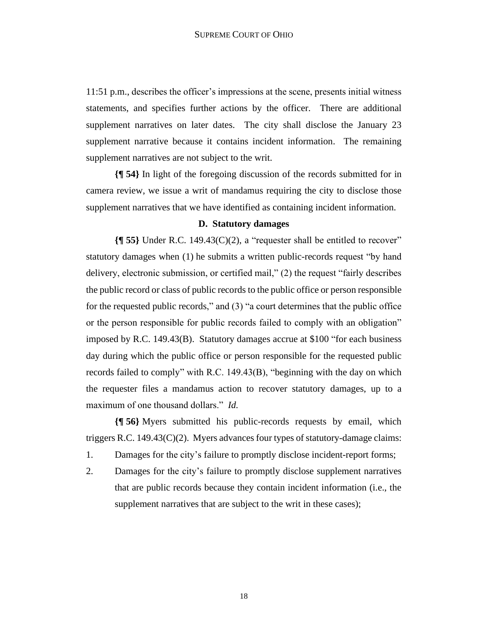11:51 p.m., describes the officer's impressions at the scene, presents initial witness statements, and specifies further actions by the officer. There are additional supplement narratives on later dates. The city shall disclose the January 23 supplement narrative because it contains incident information. The remaining supplement narratives are not subject to the writ.

**{¶ 54}** In light of the foregoing discussion of the records submitted for in camera review, we issue a writ of mandamus requiring the city to disclose those supplement narratives that we have identified as containing incident information.

# **D. Statutory damages**

**{¶ 55}** Under R.C. 149.43(C)(2), a "requester shall be entitled to recover" statutory damages when (1) he submits a written public-records request "by hand delivery, electronic submission, or certified mail," (2) the request "fairly describes the public record or class of public records to the public office or person responsible for the requested public records," and (3) "a court determines that the public office or the person responsible for public records failed to comply with an obligation" imposed by R.C. 149.43(B). Statutory damages accrue at \$100 "for each business day during which the public office or person responsible for the requested public records failed to comply" with R.C. 149.43(B), "beginning with the day on which the requester files a mandamus action to recover statutory damages, up to a maximum of one thousand dollars." *Id.*

**{¶ 56}** Myers submitted his public-records requests by email, which triggers R.C. 149.43(C)(2). Myers advances four types of statutory-damage claims:

- 1. Damages for the city's failure to promptly disclose incident-report forms;
- 2. Damages for the city's failure to promptly disclose supplement narratives that are public records because they contain incident information (i.e., the supplement narratives that are subject to the writ in these cases);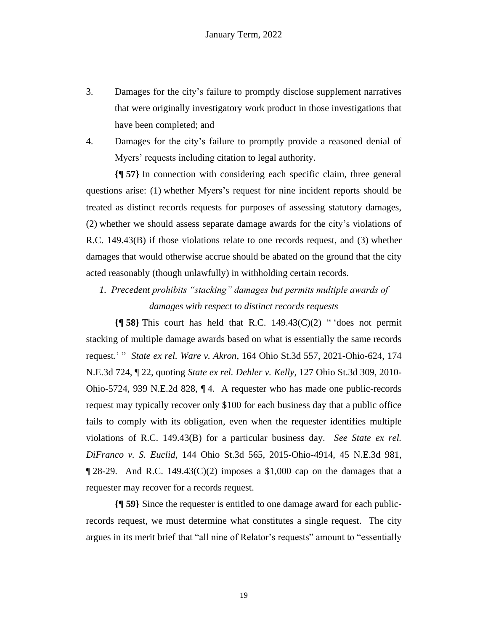- 3. Damages for the city's failure to promptly disclose supplement narratives that were originally investigatory work product in those investigations that have been completed; and
- 4. Damages for the city's failure to promptly provide a reasoned denial of Myers' requests including citation to legal authority.

**{¶ 57}** In connection with considering each specific claim, three general questions arise: (1) whether Myers's request for nine incident reports should be treated as distinct records requests for purposes of assessing statutory damages, (2) whether we should assess separate damage awards for the city's violations of R.C. 149.43(B) if those violations relate to one records request, and (3) whether damages that would otherwise accrue should be abated on the ground that the city acted reasonably (though unlawfully) in withholding certain records.

*1. Precedent prohibits "stacking" damages but permits multiple awards of damages with respect to distinct records requests*

**{¶ 58}** This court has held that R.C. 149.43(C)(2) " 'does not permit stacking of multiple damage awards based on what is essentially the same records request.' " *State ex rel. Ware v. Akron*, 164 Ohio St.3d 557, 2021-Ohio-624, 174 N.E.3d 724, ¶ 22, quoting *State ex rel. Dehler v. Kelly*, 127 Ohio St.3d 309, 2010- Ohio-5724, 939 N.E.2d 828, ¶ 4. A requester who has made one public-records request may typically recover only \$100 for each business day that a public office fails to comply with its obligation, even when the requester identifies multiple violations of R.C. 149.43(B) for a particular business day. *See State ex rel. DiFranco v. S. Euclid*, 144 Ohio St.3d 565, 2015-Ohio-4914, 45 N.E.3d 981,  $\P$  28-29. And R.C. 149.43(C)(2) imposes a \$1,000 cap on the damages that a requester may recover for a records request.

**{¶ 59}** Since the requester is entitled to one damage award for each publicrecords request, we must determine what constitutes a single request. The city argues in its merit brief that "all nine of Relator's requests" amount to "essentially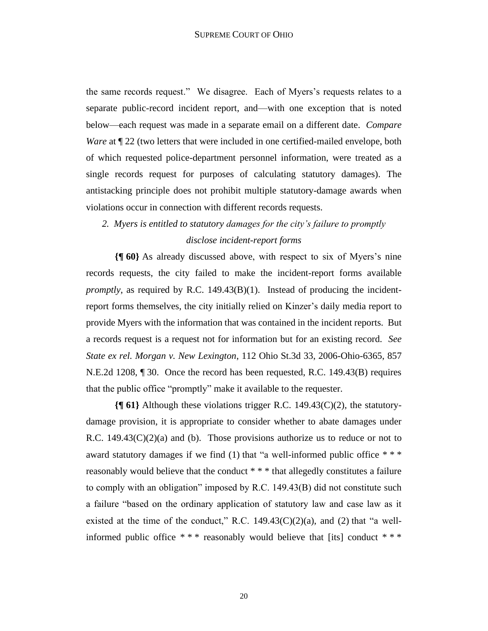the same records request." We disagree. Each of Myers's requests relates to a separate public-record incident report, and—with one exception that is noted below—each request was made in a separate email on a different date. *Compare Ware* at  $\P$  22 (two letters that were included in one certified-mailed envelope, both of which requested police-department personnel information, were treated as a single records request for purposes of calculating statutory damages). The antistacking principle does not prohibit multiple statutory-damage awards when violations occur in connection with different records requests.

# *2. Myers is entitled to statutory damages for the city's failure to promptly disclose incident-report forms*

**{¶ 60}** As already discussed above, with respect to six of Myers's nine records requests, the city failed to make the incident-report forms available *promptly*, as required by R.C. 149.43(B)(1). Instead of producing the incidentreport forms themselves, the city initially relied on Kinzer's daily media report to provide Myers with the information that was contained in the incident reports. But a records request is a request not for information but for an existing record. *See State ex rel. Morgan v. New Lexington*, 112 Ohio St.3d 33, 2006-Ohio-6365, 857 N.E.2d 1208, ¶ 30. Once the record has been requested, R.C. 149.43(B) requires that the public office "promptly" make it available to the requester.

**{¶ 61}** Although these violations trigger R.C. 149.43(C)(2), the statutorydamage provision, it is appropriate to consider whether to abate damages under R.C.  $149.43(C)(2)(a)$  and (b). Those provisions authorize us to reduce or not to award statutory damages if we find (1) that "a well-informed public office \*\*\* reasonably would believe that the conduct \* \* \* that allegedly constitutes a failure to comply with an obligation" imposed by R.C. 149.43(B) did not constitute such a failure "based on the ordinary application of statutory law and case law as it existed at the time of the conduct," R.C.  $149.43(C)(2)(a)$ , and (2) that "a wellinformed public office \* \* \* reasonably would believe that [its] conduct \* \* \*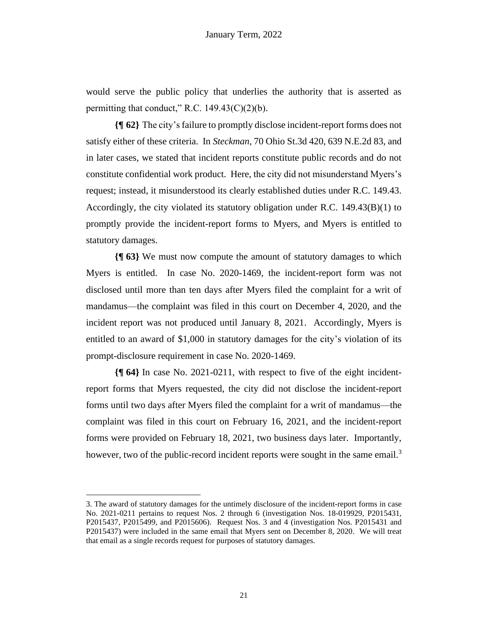would serve the public policy that underlies the authority that is asserted as permitting that conduct," R.C.  $149.43(C)(2)(b)$ .

**{¶ 62}** The city's failure to promptly disclose incident-report forms does not satisfy either of these criteria. In *Steckman*, 70 Ohio St.3d 420, 639 N.E.2d 83, and in later cases, we stated that incident reports constitute public records and do not constitute confidential work product. Here, the city did not misunderstand Myers's request; instead, it misunderstood its clearly established duties under R.C. 149.43. Accordingly, the city violated its statutory obligation under R.C. 149.43(B)(1) to promptly provide the incident-report forms to Myers, and Myers is entitled to statutory damages.

**{¶ 63}** We must now compute the amount of statutory damages to which Myers is entitled. In case No. 2020-1469, the incident-report form was not disclosed until more than ten days after Myers filed the complaint for a writ of mandamus—the complaint was filed in this court on December 4, 2020, and the incident report was not produced until January 8, 2021. Accordingly, Myers is entitled to an award of \$1,000 in statutory damages for the city's violation of its prompt-disclosure requirement in case No. 2020-1469.

**{¶ 64}** In case No. 2021-0211, with respect to five of the eight incidentreport forms that Myers requested, the city did not disclose the incident-report forms until two days after Myers filed the complaint for a writ of mandamus—the complaint was filed in this court on February 16, 2021, and the incident-report forms were provided on February 18, 2021, two business days later. Importantly, however, two of the public-record incident reports were sought in the same email.<sup>3</sup>

<sup>3.</sup> The award of statutory damages for the untimely disclosure of the incident-report forms in case No. 2021-0211 pertains to request Nos. 2 through 6 (investigation Nos. 18-019929, P2015431, P2015437, P2015499, and P2015606). Request Nos. 3 and 4 (investigation Nos. P2015431 and P2015437) were included in the same email that Myers sent on December 8, 2020. We will treat that email as a single records request for purposes of statutory damages.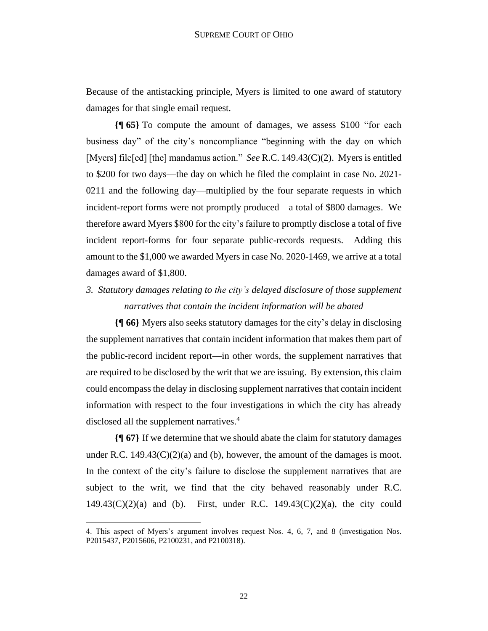Because of the antistacking principle, Myers is limited to one award of statutory damages for that single email request.

**{¶ 65}** To compute the amount of damages, we assess \$100 "for each business day" of the city's noncompliance "beginning with the day on which [Myers] file[ed] [the] mandamus action." *See* R.C. 149.43(C)(2). Myers is entitled to \$200 for two days—the day on which he filed the complaint in case No. 2021- 0211 and the following day—multiplied by the four separate requests in which incident-report forms were not promptly produced—a total of \$800 damages. We therefore award Myers \$800 for the city's failure to promptly disclose a total of five incident report-forms for four separate public-records requests. Adding this amount to the \$1,000 we awarded Myers in case No. 2020-1469, we arrive at a total damages award of \$1,800.

*3. Statutory damages relating to the city's delayed disclosure of those supplement narratives that contain the incident information will be abated*

**{¶ 66}** Myers also seeks statutory damages for the city's delay in disclosing the supplement narratives that contain incident information that makes them part of the public-record incident report—in other words, the supplement narratives that are required to be disclosed by the writ that we are issuing. By extension, this claim could encompass the delay in disclosing supplement narratives that contain incident information with respect to the four investigations in which the city has already disclosed all the supplement narratives.<sup>4</sup>

**{¶ 67}** If we determine that we should abate the claim for statutory damages under R.C.  $149.43(C)(2)(a)$  and (b), however, the amount of the damages is moot. In the context of the city's failure to disclose the supplement narratives that are subject to the writ, we find that the city behaved reasonably under R.C. 149.43(C)(2)(a) and (b). First, under R.C. 149.43(C)(2)(a), the city could

<sup>4.</sup> This aspect of Myers's argument involves request Nos. 4, 6, 7, and 8 (investigation Nos. P2015437, P2015606, P2100231, and P2100318).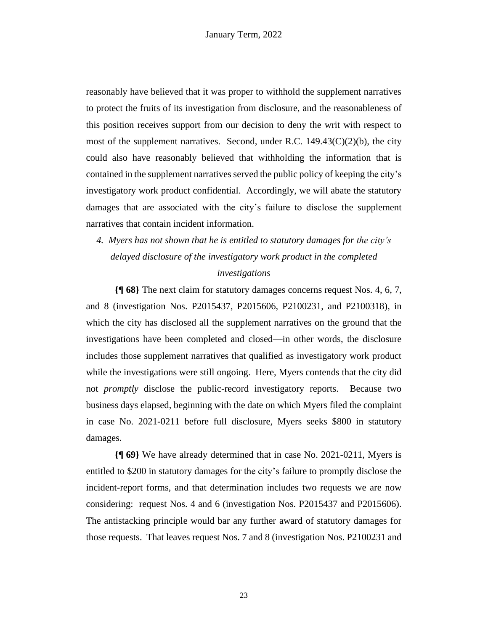reasonably have believed that it was proper to withhold the supplement narratives to protect the fruits of its investigation from disclosure, and the reasonableness of this position receives support from our decision to deny the writ with respect to most of the supplement narratives. Second, under R.C.  $149.43(C)(2)(b)$ , the city could also have reasonably believed that withholding the information that is contained in the supplement narratives served the public policy of keeping the city's investigatory work product confidential. Accordingly, we will abate the statutory damages that are associated with the city's failure to disclose the supplement narratives that contain incident information.

*4. Myers has not shown that he is entitled to statutory damages for the city's delayed disclosure of the investigatory work product in the completed investigations*

**{¶ 68}** The next claim for statutory damages concerns request Nos. 4, 6, 7, and 8 (investigation Nos. P2015437, P2015606, P2100231, and P2100318), in which the city has disclosed all the supplement narratives on the ground that the investigations have been completed and closed—in other words, the disclosure includes those supplement narratives that qualified as investigatory work product while the investigations were still ongoing. Here, Myers contends that the city did not *promptly* disclose the public-record investigatory reports. Because two business days elapsed, beginning with the date on which Myers filed the complaint in case No. 2021-0211 before full disclosure, Myers seeks \$800 in statutory damages.

**{¶ 69}** We have already determined that in case No. 2021-0211, Myers is entitled to \$200 in statutory damages for the city's failure to promptly disclose the incident-report forms, and that determination includes two requests we are now considering: request Nos. 4 and 6 (investigation Nos. P2015437 and P2015606). The antistacking principle would bar any further award of statutory damages for those requests. That leaves request Nos. 7 and 8 (investigation Nos. P2100231 and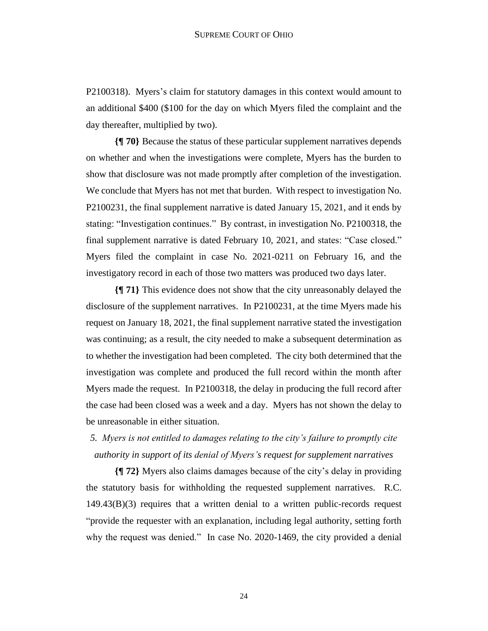P2100318). Myers's claim for statutory damages in this context would amount to an additional \$400 (\$100 for the day on which Myers filed the complaint and the day thereafter, multiplied by two).

**{¶ 70}** Because the status of these particular supplement narratives depends on whether and when the investigations were complete, Myers has the burden to show that disclosure was not made promptly after completion of the investigation. We conclude that Myers has not met that burden. With respect to investigation No. P2100231, the final supplement narrative is dated January 15, 2021, and it ends by stating: "Investigation continues." By contrast, in investigation No. P2100318, the final supplement narrative is dated February 10, 2021, and states: "Case closed." Myers filed the complaint in case No. 2021-0211 on February 16, and the investigatory record in each of those two matters was produced two days later.

**{¶ 71}** This evidence does not show that the city unreasonably delayed the disclosure of the supplement narratives. In P2100231, at the time Myers made his request on January 18, 2021, the final supplement narrative stated the investigation was continuing; as a result, the city needed to make a subsequent determination as to whether the investigation had been completed. The city both determined that the investigation was complete and produced the full record within the month after Myers made the request. In P2100318, the delay in producing the full record after the case had been closed was a week and a day. Myers has not shown the delay to be unreasonable in either situation.

# *5. Myers is not entitled to damages relating to the city's failure to promptly cite authority in support of its denial of Myers's request for supplement narratives*

**{¶ 72}** Myers also claims damages because of the city's delay in providing the statutory basis for withholding the requested supplement narratives. R.C.  $149.43(B)(3)$  requires that a written denial to a written public-records request "provide the requester with an explanation, including legal authority, setting forth why the request was denied." In case No. 2020-1469, the city provided a denial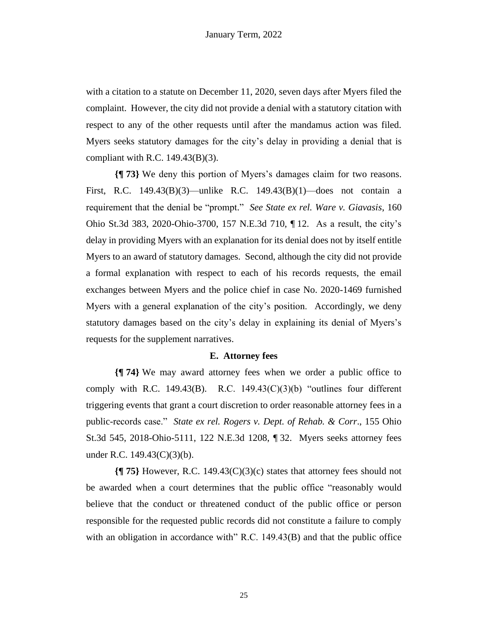with a citation to a statute on December 11, 2020, seven days after Myers filed the complaint. However, the city did not provide a denial with a statutory citation with respect to any of the other requests until after the mandamus action was filed. Myers seeks statutory damages for the city's delay in providing a denial that is compliant with R.C. 149.43(B)(3).

**{¶ 73}** We deny this portion of Myers's damages claim for two reasons. First, R.C. 149.43(B)(3)—unlike R.C. 149.43(B)(1)—does not contain a requirement that the denial be "prompt." *See State ex rel. Ware v. Giavasis*, 160 Ohio St.3d 383, 2020-Ohio-3700, 157 N.E.3d 710, ¶ 12. As a result, the city's delay in providing Myers with an explanation for its denial does not by itself entitle Myers to an award of statutory damages. Second, although the city did not provide a formal explanation with respect to each of his records requests, the email exchanges between Myers and the police chief in case No. 2020-1469 furnished Myers with a general explanation of the city's position. Accordingly, we deny statutory damages based on the city's delay in explaining its denial of Myers's requests for the supplement narratives.

#### **E. Attorney fees**

**{¶ 74}** We may award attorney fees when we order a public office to comply with R.C. 149.43 $(B)$ . R.C. 149.43 $(C)(3)(b)$  "outlines four different triggering events that grant a court discretion to order reasonable attorney fees in a public-records case." *State ex rel. Rogers v. Dept. of Rehab. & Corr*., 155 Ohio St.3d 545, 2018-Ohio-5111, 122 N.E.3d 1208, ¶ 32. Myers seeks attorney fees under R.C. 149.43(C)(3)(b).

**{¶ 75}** However, R.C. 149.43(C)(3)(c) states that attorney fees should not be awarded when a court determines that the public office "reasonably would believe that the conduct or threatened conduct of the public office or person responsible for the requested public records did not constitute a failure to comply with an obligation in accordance with" R.C. 149.43(B) and that the public office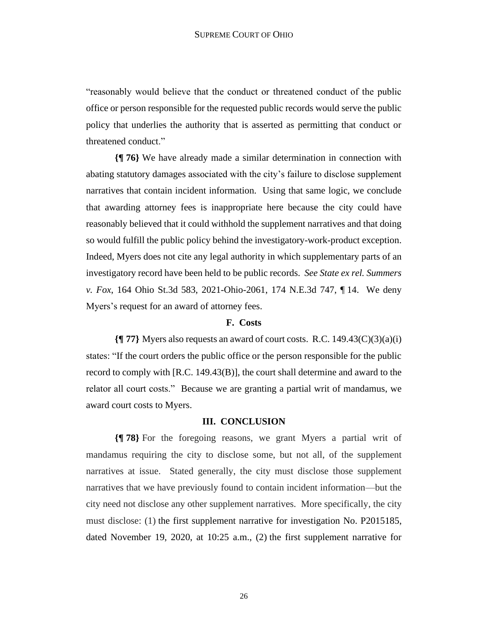"reasonably would believe that the conduct or threatened conduct of the public office or person responsible for the requested public records would serve the public policy that underlies the authority that is asserted as permitting that conduct or threatened conduct."

**{¶ 76}** We have already made a similar determination in connection with abating statutory damages associated with the city's failure to disclose supplement narratives that contain incident information. Using that same logic, we conclude that awarding attorney fees is inappropriate here because the city could have reasonably believed that it could withhold the supplement narratives and that doing so would fulfill the public policy behind the investigatory-work-product exception. Indeed, Myers does not cite any legal authority in which supplementary parts of an investigatory record have been held to be public records. *See State ex rel. Summers v. Fox*, 164 Ohio St.3d 583, 2021-Ohio-2061, 174 N.E.3d 747, ¶ 14. We deny Myers's request for an award of attorney fees.

### **F. Costs**

**{¶ 77}** Myers also requests an award of court costs. R.C. 149.43(C)(3)(a)(i) states: "If the court orders the public office or the person responsible for the public record to comply with [R.C. 149.43(B)], the court shall determine and award to the relator all court costs." Because we are granting a partial writ of mandamus, we award court costs to Myers.

#### **III. CONCLUSION**

**{¶ 78}** For the foregoing reasons, we grant Myers a partial writ of mandamus requiring the city to disclose some, but not all, of the supplement narratives at issue. Stated generally, the city must disclose those supplement narratives that we have previously found to contain incident information—but the city need not disclose any other supplement narratives. More specifically, the city must disclose: (1) the first supplement narrative for investigation No. P2015185, dated November 19, 2020, at 10:25 a.m., (2) the first supplement narrative for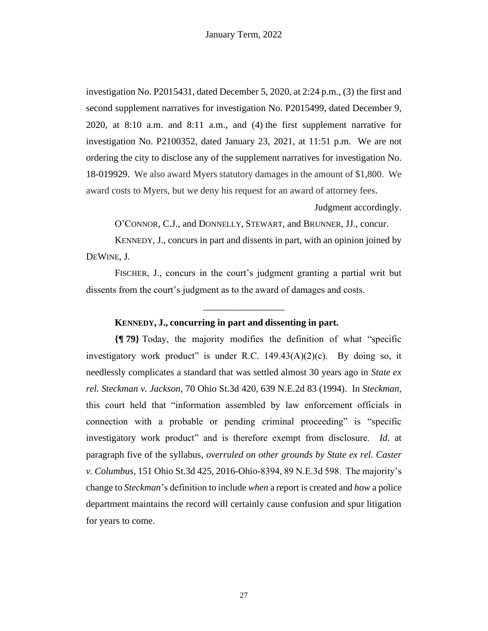investigation No. P2015431, dated December 5, 2020, at 2:24 p.m., (3) the first and second supplement narratives for investigation No. P2015499, dated December 9, 2020, at 8:10 a.m. and 8:11 a.m., and (4) the first supplement narrative for investigation No. P2100352, dated January 23, 2021, at 11:51 p.m. We are not ordering the city to disclose any of the supplement narratives for investigation No. 18-019929. We also award Myers statutory damages in the amount of \$1,800. We award costs to Myers, but we deny his request for an award of attorney fees.

Judgment accordingly.

O'CONNOR, C.J., and DONNELLY, STEWART, and BRUNNER, JJ., concur.

KENNEDY, J., concurs in part and dissents in part, with an opinion joined by DEWINE, J.

FISCHER, J., concurs in the court's judgment granting a partial writ but dissents from the court's judgment as to the award of damages and costs.

\_\_\_\_\_\_\_\_\_\_\_\_\_\_\_\_\_

### **KENNEDY, J., concurring in part and dissenting in part.**

**{¶ 79}** Today, the majority modifies the definition of what "specific investigatory work product" is under R.C.  $149.43(A)(2)(c)$ . By doing so, it needlessly complicates a standard that was settled almost 30 years ago in *State ex rel. Steckman v. Jackson*, 70 Ohio St.3d 420, 639 N.E.2d 83 (1994). In *Steckman*, this court held that "information assembled by law enforcement officials in connection with a probable or pending criminal proceeding" is "specific investigatory work product" and is therefore exempt from disclosure. *Id*. at paragraph five of the syllabus, *overruled on other grounds by State ex rel. Caster v. Columbus*, 151 Ohio St.3d 425, 2016-Ohio-8394, 89 N.E.3d 598. The majority's change to *Steckman*'s definition to include *when* a report is created and *how* a police department maintains the record will certainly cause confusion and spur litigation for years to come.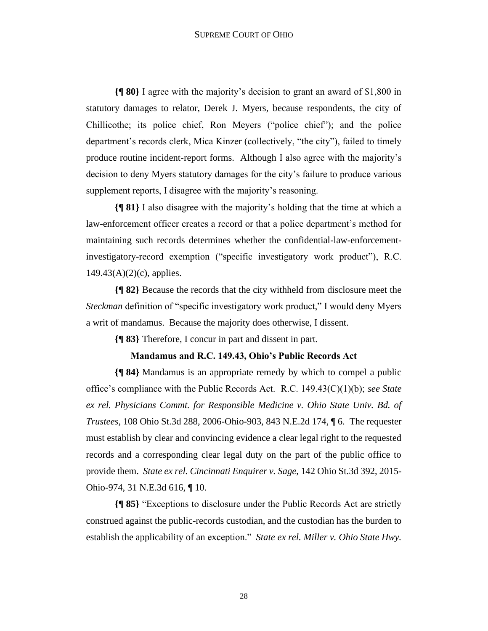**{¶ 80}** I agree with the majority's decision to grant an award of \$1,800 in statutory damages to relator, Derek J. Myers, because respondents, the city of Chillicothe; its police chief, Ron Meyers ("police chief"); and the police department's records clerk, Mica Kinzer (collectively, "the city"), failed to timely produce routine incident-report forms. Although I also agree with the majority's decision to deny Myers statutory damages for the city's failure to produce various supplement reports, I disagree with the majority's reasoning.

**{¶ 81}** I also disagree with the majority's holding that the time at which a law-enforcement officer creates a record or that a police department's method for maintaining such records determines whether the confidential-law-enforcementinvestigatory-record exemption ("specific investigatory work product"), R.C.  $149.43(A)(2)(c)$ , applies.

**{¶ 82}** Because the records that the city withheld from disclosure meet the *Steckman* definition of "specific investigatory work product," I would deny Myers a writ of mandamus. Because the majority does otherwise, I dissent.

**{¶ 83}** Therefore, I concur in part and dissent in part.

### **Mandamus and R.C. 149.43, Ohio's Public Records Act**

**{¶ 84}** Mandamus is an appropriate remedy by which to compel a public office's compliance with the Public Records Act. R.C. 149.43(C)(1)(b); *see State ex rel. Physicians Commt. for Responsible Medicine v. Ohio State Univ. Bd. of Trustees*, 108 Ohio St.3d 288, 2006-Ohio-903, 843 N.E.2d 174, ¶ 6. The requester must establish by clear and convincing evidence a clear legal right to the requested records and a corresponding clear legal duty on the part of the public office to provide them. *State ex rel. Cincinnati Enquirer v. Sage*, 142 Ohio St.3d 392, 2015- Ohio-974, 31 N.E.3d 616, ¶ 10.

**{¶ 85}** "Exceptions to disclosure under the Public Records Act are strictly construed against the public-records custodian, and the custodian has the burden to establish the applicability of an exception." *State ex rel. Miller v. Ohio State Hwy.*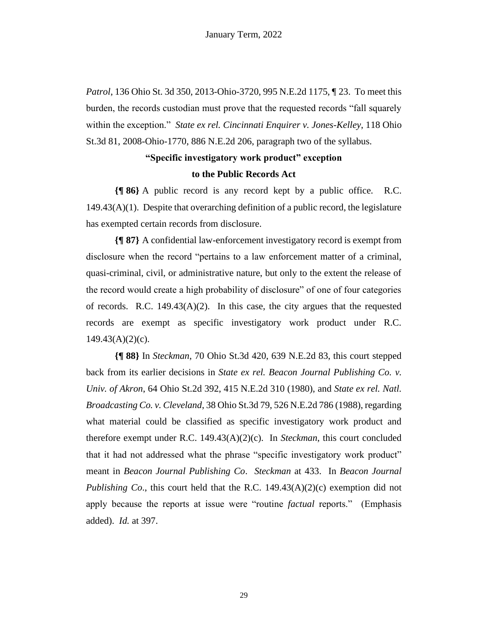*Patrol*, 136 Ohio St. 3d 350, 2013-Ohio-3720, 995 N.E.2d 1175, ¶ 23. To meet this burden, the records custodian must prove that the requested records "fall squarely within the exception." *State ex rel. Cincinnati Enquirer v. Jones-Kelley*, 118 Ohio St.3d 81, 2008-Ohio-1770, 886 N.E.2d 206, paragraph two of the syllabus.

# **"Specific investigatory work product" exception**

### **to the Public Records Act**

**{¶ 86}** A public record is any record kept by a public office. R.C.  $149.43(A)(1)$ . Despite that overarching definition of a public record, the legislature has exempted certain records from disclosure.

**{¶ 87}** A confidential law-enforcement investigatory record is exempt from disclosure when the record "pertains to a law enforcement matter of a criminal, quasi-criminal, civil, or administrative nature, but only to the extent the release of the record would create a high probability of disclosure" of one of four categories of records. R.C.  $149.43(A)(2)$ . In this case, the city argues that the requested records are exempt as specific investigatory work product under R.C.  $149.43(A)(2)(c)$ .

**{¶ 88}** In *Steckman*, 70 Ohio St.3d 420, 639 N.E.2d 83, this court stepped back from its earlier decisions in *State ex rel. Beacon Journal Publishing Co. v. Univ. of Akron*, 64 Ohio St.2d 392, 415 N.E.2d 310 (1980), and *State ex rel. Natl. Broadcasting Co. v. Cleveland*, 38 Ohio St.3d 79, 526 N.E.2d 786 (1988), regarding what material could be classified as specific investigatory work product and therefore exempt under R.C. 149.43(A)(2)(c). In *Steckman*, this court concluded that it had not addressed what the phrase "specific investigatory work product" meant in *Beacon Journal Publishing Co*. *Steckman* at 433. In *Beacon Journal Publishing Co*., this court held that the R.C. 149.43(A)(2)(c) exemption did not apply because the reports at issue were "routine *factual* reports." (Emphasis added). *Id.* at 397.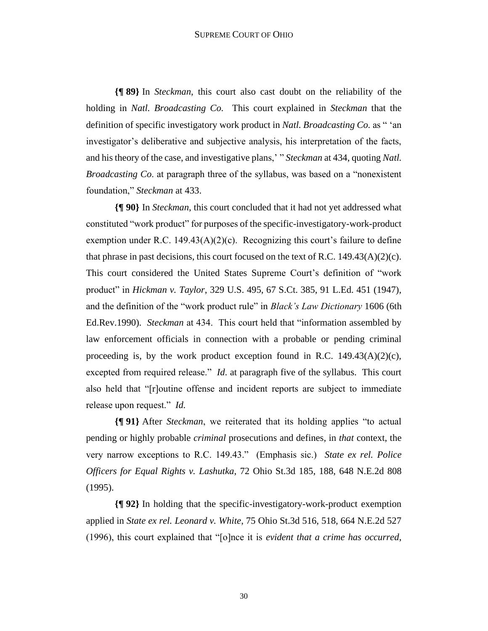#### SUPREME COURT OF OHIO

**{¶ 89}** In *Steckman*, this court also cast doubt on the reliability of the holding in *Natl. Broadcasting Co.* This court explained in *Steckman* that the definition of specific investigatory work product in *Natl. Broadcasting Co.* as " 'an investigator's deliberative and subjective analysis, his interpretation of the facts, and his theory of the case, and investigative plans,' " *Steckman* at 434, quoting *Natl. Broadcasting Co*. at paragraph three of the syllabus, was based on a "nonexistent foundation," *Steckman* at 433.

**{¶ 90}** In *Steckman*, this court concluded that it had not yet addressed what constituted "work product" for purposes of the specific-investigatory-work-product exemption under R.C. 149.43(A)(2)(c). Recognizing this court's failure to define that phrase in past decisions, this court focused on the text of R.C.  $149.43(A)(2)(c)$ . This court considered the United States Supreme Court's definition of "work product" in *Hickman v. Taylor*, 329 U.S. 495, 67 S.Ct. 385, 91 L.Ed. 451 (1947), and the definition of the "work product rule" in *Black's Law Dictionary* 1606 (6th Ed.Rev.1990). *Steckman* at 434. This court held that "information assembled by law enforcement officials in connection with a probable or pending criminal proceeding is, by the work product exception found in R.C.  $149.43(A)(2)(c)$ , excepted from required release." *Id*. at paragraph five of the syllabus. This court also held that "[r]outine offense and incident reports are subject to immediate release upon request." *Id.*

**{¶ 91}** After *Steckman*, we reiterated that its holding applies "to actual pending or highly probable *criminal* prosecutions and defines, in *that* context, the very narrow exceptions to R.C. 149.43." (Emphasis sic.) *State ex rel. Police Officers for Equal Rights v. Lashutka*, 72 Ohio St.3d 185, 188, 648 N.E.2d 808 (1995).

**{¶ 92}** In holding that the specific-investigatory-work-product exemption applied in *State ex rel. Leonard v. White*, 75 Ohio St.3d 516, 518, 664 N.E.2d 527 (1996), this court explained that "[o]nce it is *evident that a crime has occurred*,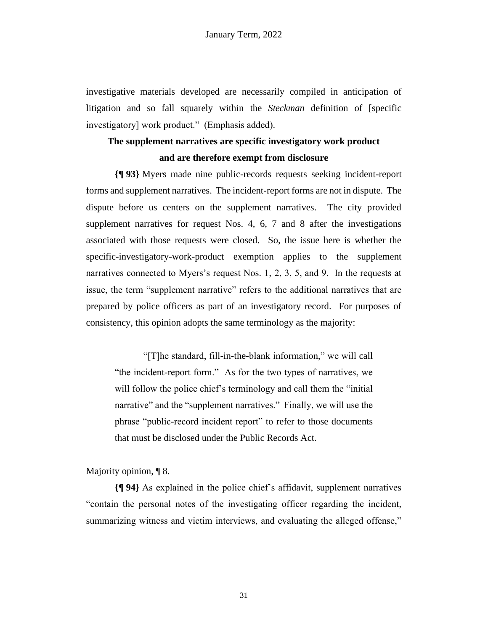investigative materials developed are necessarily compiled in anticipation of litigation and so fall squarely within the *Steckman* definition of [specific investigatory] work product." (Emphasis added).

# **The supplement narratives are specific investigatory work product and are therefore exempt from disclosure**

**{¶ 93}** Myers made nine public-records requests seeking incident-report forms and supplement narratives. The incident-report forms are not in dispute. The dispute before us centers on the supplement narratives. The city provided supplement narratives for request Nos. 4, 6, 7 and 8 after the investigations associated with those requests were closed. So, the issue here is whether the specific-investigatory-work-product exemption applies to the supplement narratives connected to Myers's request Nos. 1, 2, 3, 5, and 9. In the requests at issue, the term "supplement narrative" refers to the additional narratives that are prepared by police officers as part of an investigatory record. For purposes of consistency, this opinion adopts the same terminology as the majority:

"[T]he standard, fill-in-the-blank information," we will call "the incident-report form." As for the two types of narratives, we will follow the police chief's terminology and call them the "initial" narrative" and the "supplement narratives." Finally, we will use the phrase "public-record incident report" to refer to those documents that must be disclosed under the Public Records Act.

### Majority opinion, ¶ 8.

**{¶ 94}** As explained in the police chief's affidavit, supplement narratives "contain the personal notes of the investigating officer regarding the incident, summarizing witness and victim interviews, and evaluating the alleged offense,"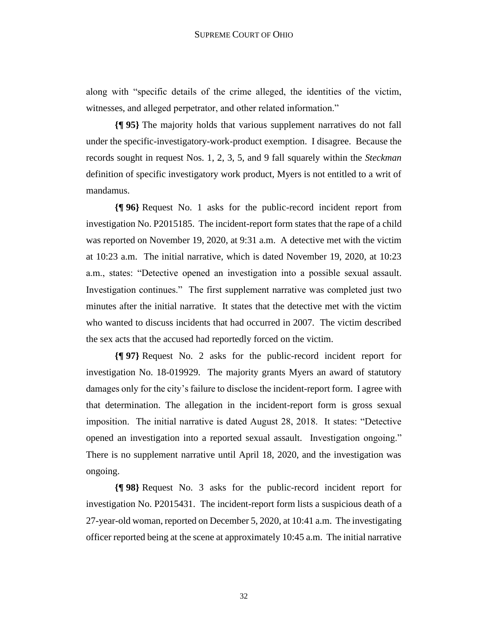along with "specific details of the crime alleged, the identities of the victim, witnesses, and alleged perpetrator, and other related information."

**{¶ 95}** The majority holds that various supplement narratives do not fall under the specific-investigatory-work-product exemption. I disagree. Because the records sought in request Nos. 1, 2, 3, 5, and 9 fall squarely within the *Steckman* definition of specific investigatory work product, Myers is not entitled to a writ of mandamus.

**{¶ 96}** Request No. 1 asks for the public-record incident report from investigation No. P2015185. The incident-report form states that the rape of a child was reported on November 19, 2020, at 9:31 a.m. A detective met with the victim at 10:23 a.m. The initial narrative, which is dated November 19, 2020, at 10:23 a.m., states: "Detective opened an investigation into a possible sexual assault. Investigation continues." The first supplement narrative was completed just two minutes after the initial narrative. It states that the detective met with the victim who wanted to discuss incidents that had occurred in 2007. The victim described the sex acts that the accused had reportedly forced on the victim.

**{¶ 97}** Request No. 2 asks for the public-record incident report for investigation No. 18-019929. The majority grants Myers an award of statutory damages only for the city's failure to disclose the incident-report form. I agree with that determination. The allegation in the incident-report form is gross sexual imposition. The initial narrative is dated August 28, 2018. It states: "Detective opened an investigation into a reported sexual assault. Investigation ongoing." There is no supplement narrative until April 18, 2020, and the investigation was ongoing.

**{¶ 98}** Request No. 3 asks for the public-record incident report for investigation No. P2015431. The incident-report form lists a suspicious death of a 27-year-old woman, reported on December 5, 2020, at 10:41 a.m. The investigating officer reported being at the scene at approximately 10:45 a.m. The initial narrative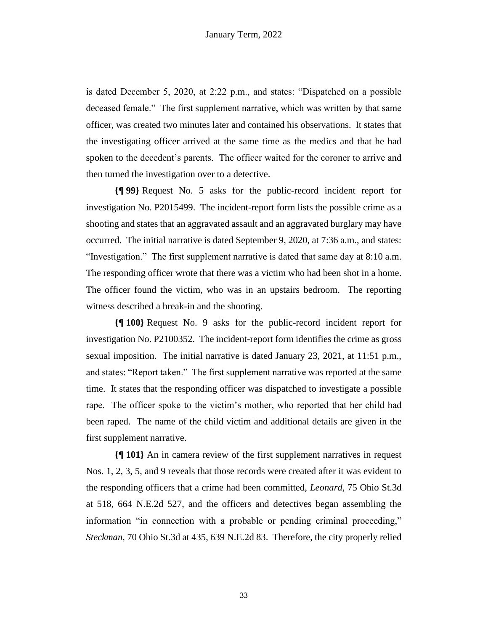is dated December 5, 2020, at 2:22 p.m., and states: "Dispatched on a possible deceased female." The first supplement narrative, which was written by that same officer, was created two minutes later and contained his observations. It states that the investigating officer arrived at the same time as the medics and that he had spoken to the decedent's parents. The officer waited for the coroner to arrive and then turned the investigation over to a detective.

**{¶ 99}** Request No. 5 asks for the public-record incident report for investigation No. P2015499. The incident-report form lists the possible crime as a shooting and states that an aggravated assault and an aggravated burglary may have occurred. The initial narrative is dated September 9, 2020, at 7:36 a.m., and states: "Investigation." The first supplement narrative is dated that same day at 8:10 a.m. The responding officer wrote that there was a victim who had been shot in a home. The officer found the victim, who was in an upstairs bedroom. The reporting witness described a break-in and the shooting.

**{¶ 100}** Request No. 9 asks for the public-record incident report for investigation No. P2100352. The incident-report form identifies the crime as gross sexual imposition. The initial narrative is dated January 23, 2021, at 11:51 p.m., and states: "Report taken." The first supplement narrative was reported at the same time. It states that the responding officer was dispatched to investigate a possible rape. The officer spoke to the victim's mother, who reported that her child had been raped. The name of the child victim and additional details are given in the first supplement narrative.

**{¶ 101}** An in camera review of the first supplement narratives in request Nos. 1, 2, 3, 5, and 9 reveals that those records were created after it was evident to the responding officers that a crime had been committed, *Leonard*, 75 Ohio St.3d at 518, 664 N.E.2d 527, and the officers and detectives began assembling the information "in connection with a probable or pending criminal proceeding," *Steckman*, 70 Ohio St.3d at 435, 639 N.E.2d 83. Therefore, the city properly relied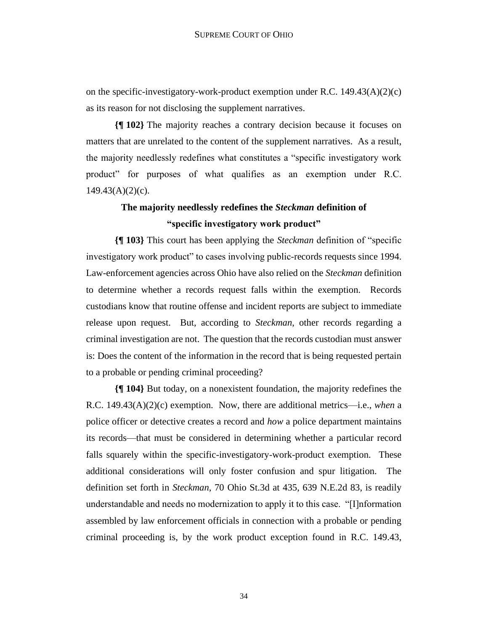on the specific-investigatory-work-product exemption under R.C.  $149.43(A)(2)(c)$ as its reason for not disclosing the supplement narratives.

**{¶ 102}** The majority reaches a contrary decision because it focuses on matters that are unrelated to the content of the supplement narratives. As a result, the majority needlessly redefines what constitutes a "specific investigatory work product" for purposes of what qualifies as an exemption under R.C.  $149.43(A)(2)(c)$ .

# **The majority needlessly redefines the** *Steckman* **definition of "specific investigatory work product"**

**{¶ 103}** This court has been applying the *Steckman* definition of "specific investigatory work product" to cases involving public-records requests since 1994. Law-enforcement agencies across Ohio have also relied on the *Steckman* definition to determine whether a records request falls within the exemption. Records custodians know that routine offense and incident reports are subject to immediate release upon request. But, according to *Steckman*, other records regarding a criminal investigation are not. The question that the records custodian must answer is: Does the content of the information in the record that is being requested pertain to a probable or pending criminal proceeding?

**{¶ 104}** But today, on a nonexistent foundation, the majority redefines the R.C. 149.43(A)(2)(c) exemption. Now, there are additional metrics—i.e., *when* a police officer or detective creates a record and *how* a police department maintains its records—that must be considered in determining whether a particular record falls squarely within the specific-investigatory-work-product exemption. These additional considerations will only foster confusion and spur litigation. The definition set forth in *Steckman*, 70 Ohio St.3d at 435, 639 N.E.2d 83, is readily understandable and needs no modernization to apply it to this case. "[I]nformation assembled by law enforcement officials in connection with a probable or pending criminal proceeding is, by the work product exception found in R.C. 149.43,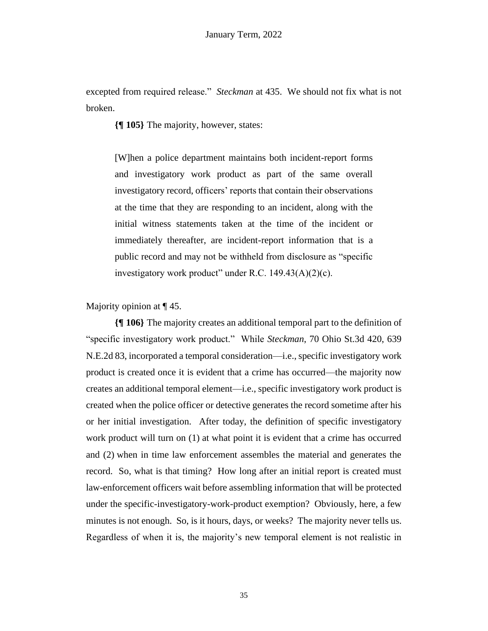excepted from required release." *Steckman* at 435. We should not fix what is not broken.

**{¶ 105}** The majority, however, states:

[W]hen a police department maintains both incident-report forms and investigatory work product as part of the same overall investigatory record, officers' reports that contain their observations at the time that they are responding to an incident, along with the initial witness statements taken at the time of the incident or immediately thereafter, are incident-report information that is a public record and may not be withheld from disclosure as "specific investigatory work product" under R.C. 149.43(A)(2)(c).

Majority opinion at ¶ 45.

**{¶ 106}** The majority creates an additional temporal part to the definition of "specific investigatory work product." While *Steckman*, 70 Ohio St.3d 420, 639 N.E.2d 83, incorporated a temporal consideration—i.e., specific investigatory work product is created once it is evident that a crime has occurred—the majority now creates an additional temporal element—i.e., specific investigatory work product is created when the police officer or detective generates the record sometime after his or her initial investigation. After today, the definition of specific investigatory work product will turn on (1) at what point it is evident that a crime has occurred and (2) when in time law enforcement assembles the material and generates the record. So, what is that timing? How long after an initial report is created must law-enforcement officers wait before assembling information that will be protected under the specific-investigatory-work-product exemption? Obviously, here, a few minutes is not enough. So, is it hours, days, or weeks? The majority never tells us. Regardless of when it is, the majority's new temporal element is not realistic in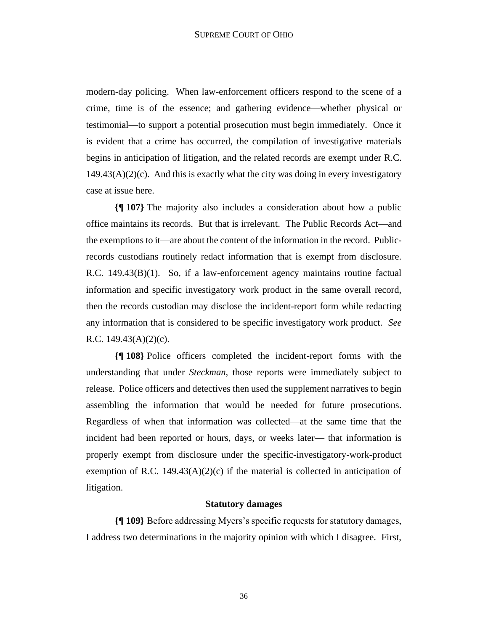modern-day policing. When law-enforcement officers respond to the scene of a crime, time is of the essence; and gathering evidence—whether physical or testimonial—to support a potential prosecution must begin immediately. Once it is evident that a crime has occurred, the compilation of investigative materials begins in anticipation of litigation, and the related records are exempt under R.C.  $149.43(A)(2)(c)$ . And this is exactly what the city was doing in every investigatory case at issue here.

**{¶ 107}** The majority also includes a consideration about how a public office maintains its records. But that is irrelevant. The Public Records Act—and the exemptions to it—are about the content of the information in the record. Publicrecords custodians routinely redact information that is exempt from disclosure. R.C. 149.43(B)(1). So, if a law-enforcement agency maintains routine factual information and specific investigatory work product in the same overall record, then the records custodian may disclose the incident-report form while redacting any information that is considered to be specific investigatory work product. *See* R.C. 149.43(A)(2)(c).

**{¶ 108}** Police officers completed the incident-report forms with the understanding that under *Steckman*, those reports were immediately subject to release. Police officers and detectives then used the supplement narratives to begin assembling the information that would be needed for future prosecutions. Regardless of when that information was collected—at the same time that the incident had been reported or hours, days, or weeks later— that information is properly exempt from disclosure under the specific-investigatory-work-product exemption of R.C. 149.43(A)(2)(c) if the material is collected in anticipation of litigation.

### **Statutory damages**

**{¶ 109}** Before addressing Myers's specific requests for statutory damages, I address two determinations in the majority opinion with which I disagree. First,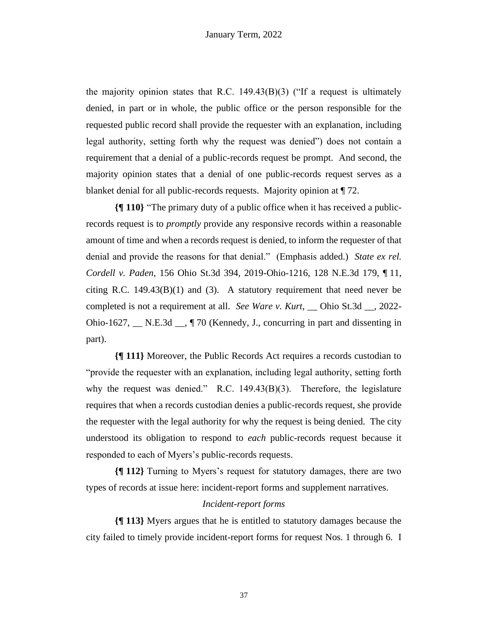the majority opinion states that R.C. 149.43(B)(3) ("If a request is ultimately denied, in part or in whole, the public office or the person responsible for the requested public record shall provide the requester with an explanation, including legal authority, setting forth why the request was denied") does not contain a requirement that a denial of a public-records request be prompt. And second, the majority opinion states that a denial of one public-records request serves as a blanket denial for all public-records requests. Majority opinion at ¶ 72.

**{¶ 110}** "The primary duty of a public office when it has received a publicrecords request is to *promptly* provide any responsive records within a reasonable amount of time and when a records request is denied, to inform the requester of that denial and provide the reasons for that denial." (Emphasis added.) *State ex rel. Cordell v. Paden*, 156 Ohio St.3d 394, 2019-Ohio-1216, 128 N.E.3d 179, ¶ 11, citing R.C.  $149.43(B)(1)$  and (3). A statutory requirement that need never be completed is not a requirement at all. *See Ware v. Kurt*, \_\_ Ohio St.3d \_\_, 2022- Ohio-1627, \_\_ N.E.3d \_\_, ¶ 70 (Kennedy, J., concurring in part and dissenting in part).

**{¶ 111}** Moreover, the Public Records Act requires a records custodian to "provide the requester with an explanation, including legal authority, setting forth why the request was denied." R.C. 149.43(B)(3). Therefore, the legislature requires that when a records custodian denies a public-records request, she provide the requester with the legal authority for why the request is being denied. The city understood its obligation to respond to *each* public-records request because it responded to each of Myers's public-records requests.

**{¶ 112}** Turning to Myers's request for statutory damages, there are two types of records at issue here: incident-report forms and supplement narratives.

### *Incident-report forms*

**{¶ 113}** Myers argues that he is entitled to statutory damages because the city failed to timely provide incident-report forms for request Nos. 1 through 6. I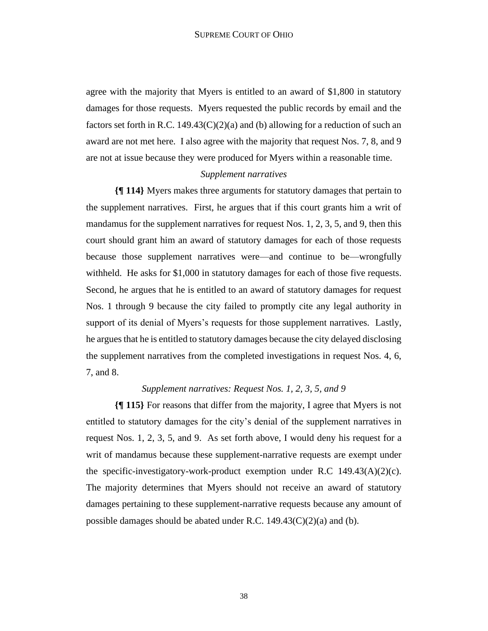agree with the majority that Myers is entitled to an award of \$1,800 in statutory damages for those requests. Myers requested the public records by email and the factors set forth in R.C.  $149.43(C)(2)(a)$  and (b) allowing for a reduction of such an award are not met here. I also agree with the majority that request Nos. 7, 8, and 9 are not at issue because they were produced for Myers within a reasonable time.

## *Supplement narratives*

**{¶ 114}** Myers makes three arguments for statutory damages that pertain to the supplement narratives. First, he argues that if this court grants him a writ of mandamus for the supplement narratives for request Nos. 1, 2, 3, 5, and 9, then this court should grant him an award of statutory damages for each of those requests because those supplement narratives were—and continue to be—wrongfully withheld. He asks for \$1,000 in statutory damages for each of those five requests. Second, he argues that he is entitled to an award of statutory damages for request Nos. 1 through 9 because the city failed to promptly cite any legal authority in support of its denial of Myers's requests for those supplement narratives. Lastly, he argues that he is entitled to statutory damages because the city delayed disclosing the supplement narratives from the completed investigations in request Nos. 4, 6, 7, and 8.

### *Supplement narratives: Request Nos. 1, 2, 3, 5, and 9*

**{¶ 115}** For reasons that differ from the majority, I agree that Myers is not entitled to statutory damages for the city's denial of the supplement narratives in request Nos. 1, 2, 3, 5, and 9. As set forth above, I would deny his request for a writ of mandamus because these supplement-narrative requests are exempt under the specific-investigatory-work-product exemption under R.C  $149.43(A)(2)(c)$ . The majority determines that Myers should not receive an award of statutory damages pertaining to these supplement-narrative requests because any amount of possible damages should be abated under R.C.  $149.43(C)(2)(a)$  and (b).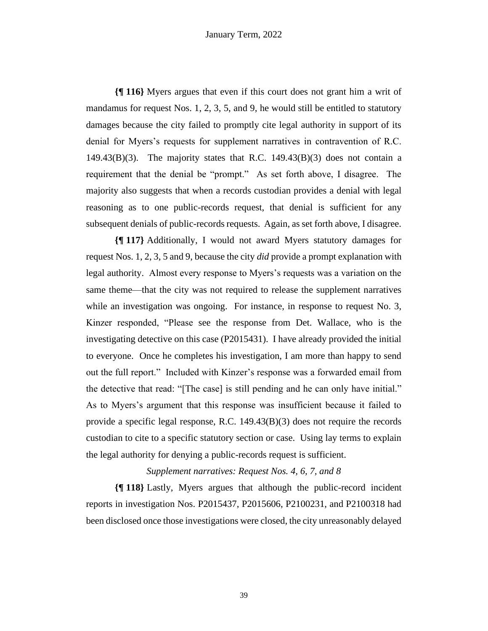**{¶ 116}** Myers argues that even if this court does not grant him a writ of mandamus for request Nos. 1, 2, 3, 5, and 9, he would still be entitled to statutory damages because the city failed to promptly cite legal authority in support of its denial for Myers's requests for supplement narratives in contravention of R.C. 149.43 $(B)(3)$ . The majority states that R.C. 149.43 $(B)(3)$  does not contain a requirement that the denial be "prompt." As set forth above, I disagree. The majority also suggests that when a records custodian provides a denial with legal reasoning as to one public-records request, that denial is sufficient for any subsequent denials of public-records requests. Again, as set forth above, I disagree.

**{¶ 117}** Additionally, I would not award Myers statutory damages for request Nos. 1, 2, 3, 5 and 9, because the city *did* provide a prompt explanation with legal authority. Almost every response to Myers's requests was a variation on the same theme—that the city was not required to release the supplement narratives while an investigation was ongoing. For instance, in response to request No. 3, Kinzer responded, "Please see the response from Det. Wallace, who is the investigating detective on this case (P2015431). I have already provided the initial to everyone. Once he completes his investigation, I am more than happy to send out the full report." Included with Kinzer's response was a forwarded email from the detective that read: "[The case] is still pending and he can only have initial." As to Myers's argument that this response was insufficient because it failed to provide a specific legal response, R.C. 149.43(B)(3) does not require the records custodian to cite to a specific statutory section or case. Using lay terms to explain the legal authority for denying a public-records request is sufficient.

*Supplement narratives: Request Nos. 4, 6, 7, and 8*

**{¶ 118}** Lastly, Myers argues that although the public-record incident reports in investigation Nos. P2015437, P2015606, P2100231, and P2100318 had been disclosed once those investigations were closed, the city unreasonably delayed

39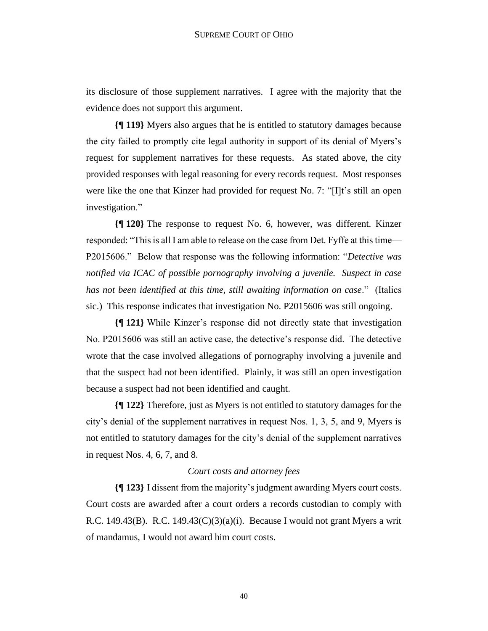its disclosure of those supplement narratives. I agree with the majority that the evidence does not support this argument.

**{¶ 119}** Myers also argues that he is entitled to statutory damages because the city failed to promptly cite legal authority in support of its denial of Myers's request for supplement narratives for these requests. As stated above, the city provided responses with legal reasoning for every records request. Most responses were like the one that Kinzer had provided for request No. 7: "[I]t's still an open investigation."

**{¶ 120}** The response to request No. 6, however, was different. Kinzer responded: "This is all I am able to release on the case from Det. Fyffe at this time— P2015606." Below that response was the following information: "*Detective was notified via ICAC of possible pornography involving a juvenile. Suspect in case has not been identified at this time, still awaiting information on case*." (Italics sic.) This response indicates that investigation No. P2015606 was still ongoing.

**{¶ 121}** While Kinzer's response did not directly state that investigation No. P2015606 was still an active case, the detective's response did. The detective wrote that the case involved allegations of pornography involving a juvenile and that the suspect had not been identified. Plainly, it was still an open investigation because a suspect had not been identified and caught.

**{¶ 122}** Therefore, just as Myers is not entitled to statutory damages for the city's denial of the supplement narratives in request Nos. 1, 3, 5, and 9, Myers is not entitled to statutory damages for the city's denial of the supplement narratives in request Nos. 4, 6, 7, and 8.

#### *Court costs and attorney fees*

**{¶ 123}** I dissent from the majority's judgment awarding Myers court costs. Court costs are awarded after a court orders a records custodian to comply with R.C. 149.43(B). R.C. 149.43(C)(3)(a)(i). Because I would not grant Myers a writ of mandamus, I would not award him court costs.